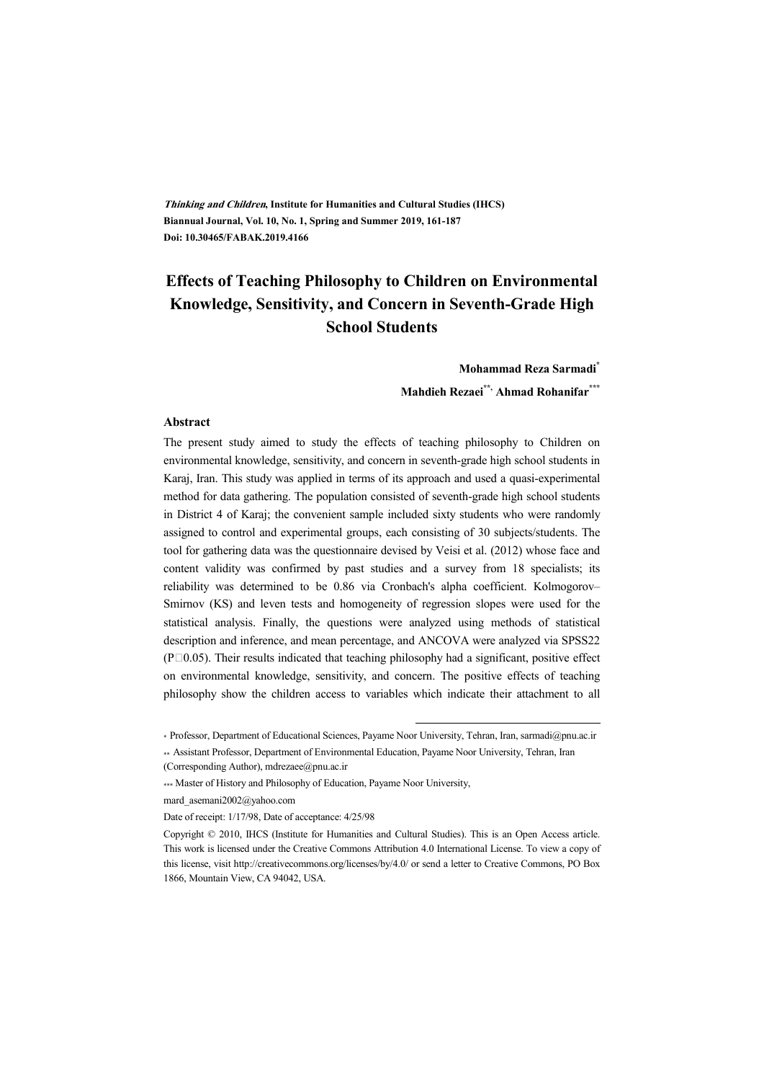**Thinking and Children, Institute for Humanities and Cultural Studies (IHCS) Biannual Journal, Vol. 10, No. 1, Spring and Summer 2019, 161-187 Doi: 10.30465/FABAK.2019.4166** 

## **Effects of Teaching Philosophy to Children on Environmental Knowledge, Sensitivity, and Concern in Seventh-Grade High School Students**

**Mohammad Reza Sarmadi\***

**Mahdieh Rezaei\*\*, Ahmad Rohanifar\*\*\***

#### **Abstract**

The present study aimed to study the effects of teaching philosophy to Children on environmental knowledge, sensitivity, and concern in seventh-grade high school students in Karaj, Iran. This study was applied in terms of its approach and used a quasi-experimental method for data gathering. The population consisted of seventh-grade high school students in District 4 of Karaj; the convenient sample included sixty students who were randomly assigned to control and experimental groups, each consisting of 30 subjects/students. The tool for gathering data was the questionnaire devised by Veisi et al. (2012) whose face and content validity was confirmed by past studies and a survey from 18 specialists; its reliability was determined to be 0.86 via Cronbach's alpha coefficient. Kolmogorov– Smirnov (KS) and leven tests and homogeneity of regression slopes were used for the statistical analysis. Finally, the questions were analyzed using methods of statistical description and inference, and mean percentage, and ANCOVA were analyzed via SPSS22  $($ P $\Box$ 0.05). Their results indicated that teaching philosophy had a significant, positive effect on environmental knowledge, sensitivity, and concern. The positive effects of teaching philosophy show the children access to variables which indicate their attachment to all

:

mard\_asemani2002@yahoo.com

Date of receipt: 1/17/98, Date of acceptance: 4/25/98

<sup>\*</sup> Professor, Department of Educational Sciences, Payame Noor University, Tehran, Iran, sarmadi@pnu.ac.ir

<sup>\*\*</sup> Assistant Professor, Department of Environmental Education, Payame Noor University, Tehran, Iran (Corresponding Author), mdrezaee@pnu.ac.ir

<sup>\*\*\*</sup> Master of History and Philosophy of Education, Payame Noor University,

Copyright © 2010, IHCS (Institute for Humanities and Cultural Studies). This is an Open Access article. This work is licensed under the Creative Commons Attribution 4.0 International License. To view a copy of this license, visit http://creativecommons.org/licenses/by/4.0/ or send a letter to Creative Commons, PO Box 1866, Mountain View, CA 94042, USA.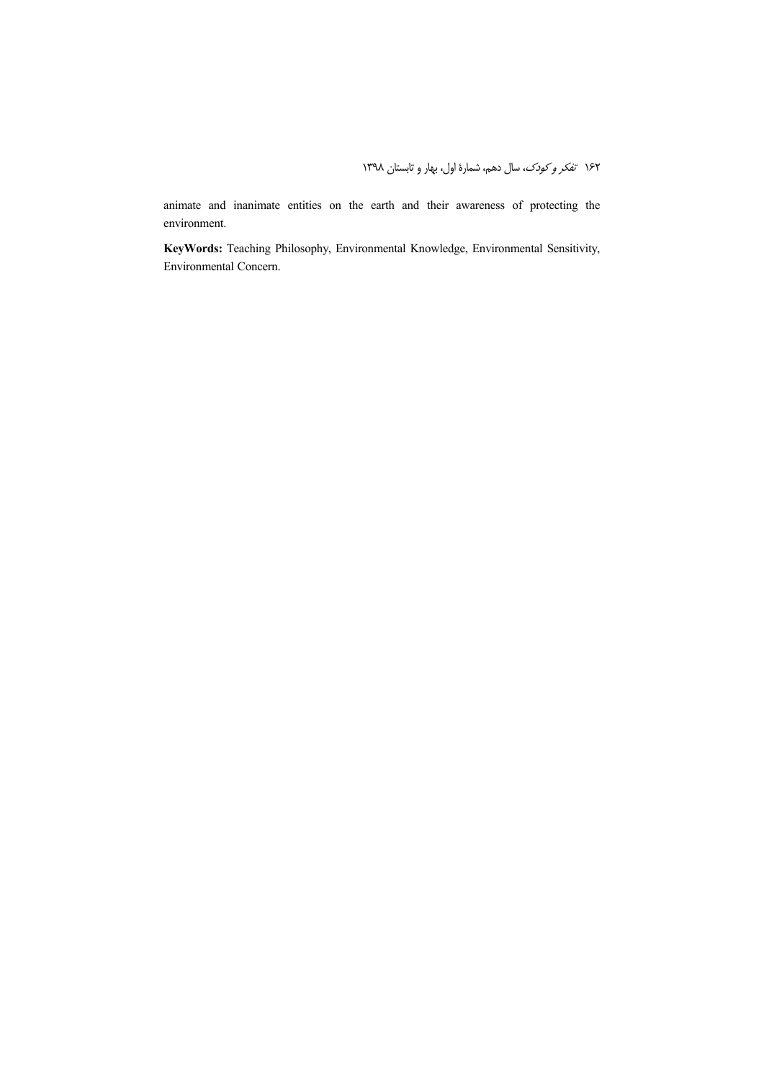animate and inanimate entities on the earth and their awareness of protecting the environment.

**KeyWords:** Teaching Philosophy, Environmental Knowledge, Environmental Sensitivity, Environmental Concern.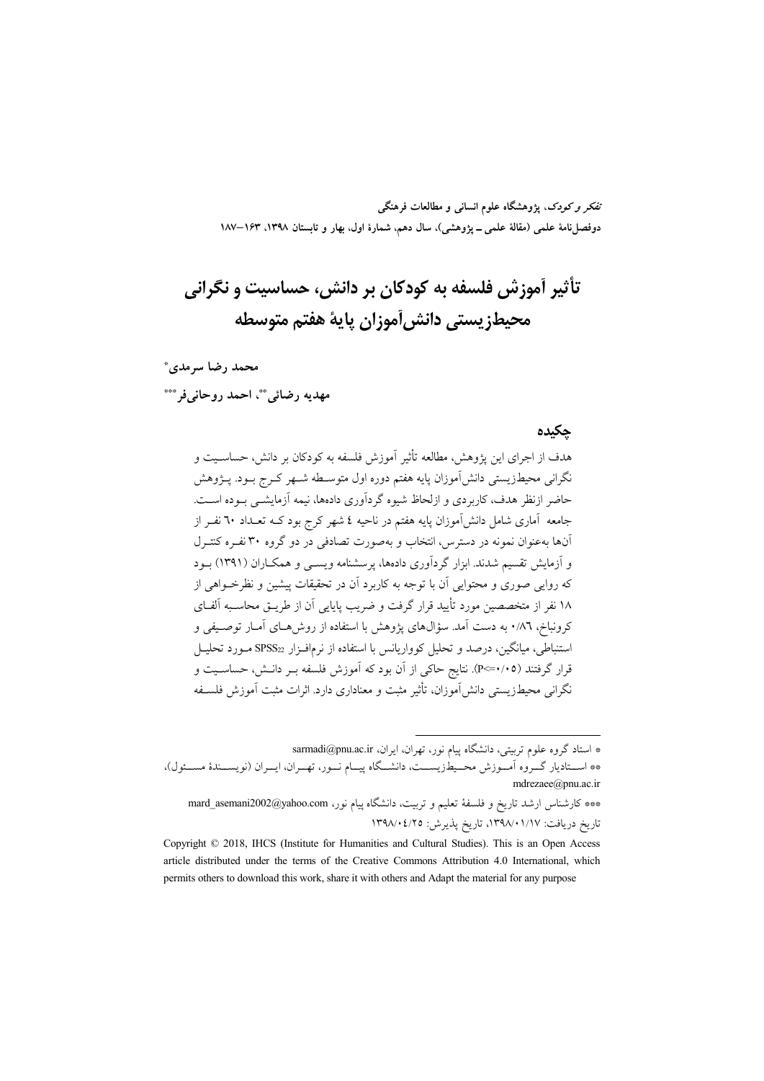تفکر و کودک، یژوهشگاه علوم انسانی و مطالعات فرهنگی دوفصلiامهٔ علمی (مقالهٔ علمی ــ پژوهشی)، سال دهم، شمارهٔ اول، بهار و تابستان ۱۳۹۸، ۱۶۳–۱۸۷

# تأثير آموزش فلسفه به كودكان بر دانش، حساسيت و نگراني محيطز يستي دانش آموزان ياية هفتم متوسطه

محمد رضا سرمدي\*

مهديه رضائي"، احمد روحاني فر\*\*\*

#### حكىدە

هدف از اجرای این یژوهش، مطالعه تأثیر آموزش فلسفه به کودکان بر دانش، حساسـیت و نگرانی محیطزیستی دانشآموزان پایه هفتم دوره اول متوسـطه شـهر کـرج بــود. پــژوهش حاضر ازنظر هدف، کاربردی و ازلحاظ شیوه گردآوری دادهها، نیمه آزمایشــی بــوده اســت. جامعه آماری شامل دانشآموزان پایه هفتم در ناحیه ٤ شهر کرج بود کــه تعــداد ٦٠ نفــر از آنها به عنوان نمونه در دسترس، انتخاب و بهصورت تصادفی در دو گروه ۳۰ نفـره کنتـرل و آزمایش تقسیم شدند. ابزار گردآوری دادهها، پرسشنامه ویسبی و همکـاران (۱۳۹۱) بـود که روایی صوری و محتوایی آن با توجه به کاربرد آن در تحقیقات پیشین و نظرخــواهی از ۱۸ نفر از متخصصین مورد تأیید قرار گرفت و ضریب پایایی آن از طریــق محاسـبه آلفــای کرونباخ، ۸٦٪ و به دست آمد. سؤالهای یژوهش با استفاده از روش هـای آمـار توصـیفی و استنباطی، میانگین، درصد و تحلیل کوواریانس با استفاده از نرمافـزار  $SPSS_{22}$  مـورد تحلیـل قرار گرفتند (٢٠٥=>P). نتايج حاكي از آن بود كه آموزش فلسفه بــر دانــش، حساســيت و نگرانی محیطزیستی دانش آموزان، تأثیر مثبت و معناداری دارد. اثرات مثبت آموزش فلسـفه

\* استاد گروه علوم تربیتی، دانشگاه پیام نور، تهران، ایران، sarmadi@pnu.ac.ir \*\* اســتاديار گــروه أمــوزش محــيطـزيســت، دانشــگاه پيــام نــور، تهــران، ايــران (نويســندهٔ مســئول)، mdrezaee@pnu.ac.ir \*\*\* كارشناس ارشد تاريخ و فلسفهٔ تعليم و تربيت، دانشگاه پيام نور، mard\_asemani2002@yahoo.com تاريخ دريافت: ١٣٩٨/٠١/١٧، تاريخ يذيرش: ١٣٩٨/٠٤/٢٥

Copyright © 2018, IHCS (Institute for Humanities and Cultural Studies). This is an Open Access article distributed under the terms of the Creative Commons Attribution 4.0 International, which permits others to download this work, share it with others and Adapt the material for any purpose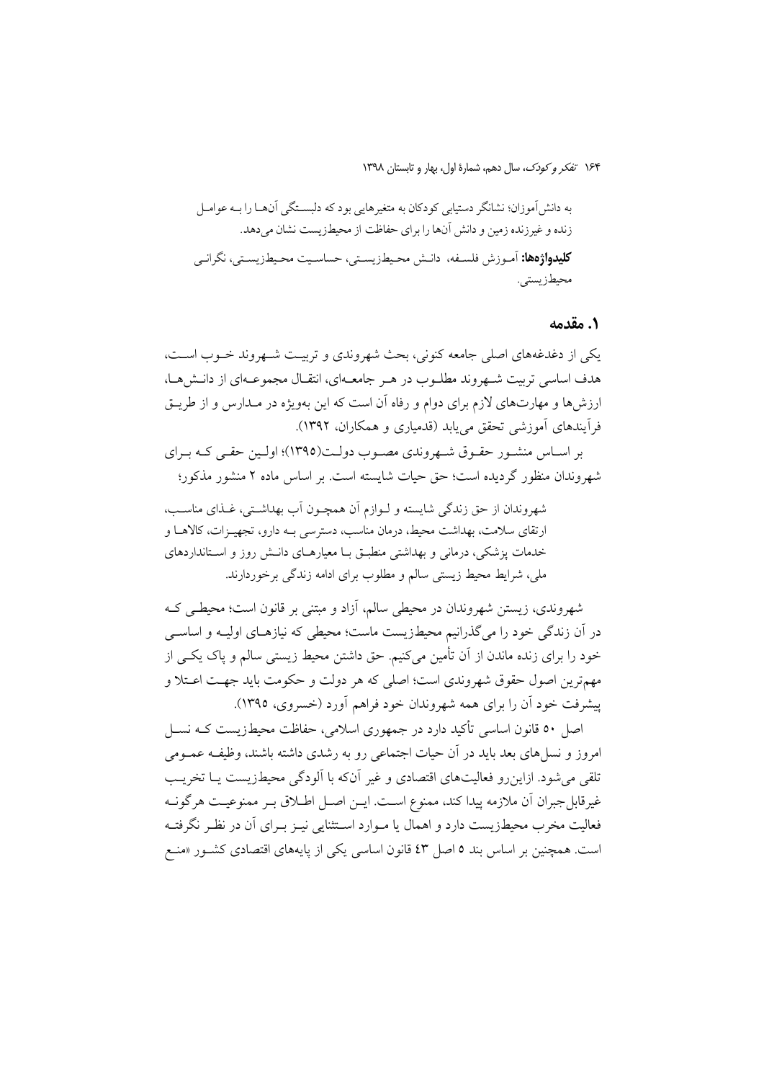#### 1. مقدمه

یکی از دغدغههای اصلی جامعه کنونی، بحث شهروندی و تربیت شـهروند خـوب اسـت، هدف اساسی تربیت شـهروند مطلـوب در هـر جامعـهای، انتقـال مجموعـهای از دانـش۵حـا، ارزشها و مهارتهای لازم برای دوام و رفاه آن است که این بهویژه در مـدارس و از طریــق فرأيندهاي أموزشي تحقق مي يابد (قدمياري و همكاران، ١٣٩٢).

بر اسـاس منشـور حقـوق شـهروندي مصـوب دولـت(١٣٩٥)؛ اولـين حقـي كـه بـراي شهروندان منظور گردیده است؛ حق حیات شایسته است. بر اساس ماده ۲ منشور مذکور؛

شهروندان از حق زندگي شايسته و لـوازم آن همچـون آب بهداشـتي، غـذاي مناسـب، ارتقای سلامت، بهداشت محیط، درمان مناسب، دسترسی بـه دارو، تجهیـزات، کالاهــا و خدمات پزشکی، درمانی و بهداشتی منطبق با معیارهای دانش روز و استانداردهای ملی، شرایط محیط زیستی سالم و مطلوب برای ادامه زندگی برخوردارند.

شهروندی، زیستن شهروندان در محیطی سالم، آزاد و مبتنی بر قانون است؛ محیطــی کــه در آن زندگی خود را میگذرانیم محیطزیست ماست؛ محیطی که نیازهـای اولیـه و اساســی خود را برای زنده ماندن از آن تأمین میکنیم. حق داشتن محیط زیستی سالم و پاک یکسی از مهمترين اصول حقوق شهروندي است؛ اصلي كه هر دولت و حكومت بايد جهـت اعــتلا و پیشرفت خود اَن را برای همه شهروندان خود فراهم اَورد (خسروی، ۱۳۹۵).

اصل ٥٠ قانون اساسی تأکید دارد در جمهوری اسلامی، حفاظت محیطزیست کـه نســل امروز و نسل های بعد باید در آن حیات اجتماعی رو به رشدی داشته باشند، وظیف عمـومی تلقی میشود. ازاین رو فعالیتهای اقتصادی و غیر آنکه با آلودگی محیطزیست یـا تخریـب غيرقابل جبران أن ملازمه پيدا كند، ممنوع است. ايــن اصــل اطــلاق بــر ممنوعيــت هرگونــه فعالیت مخرب محیطزیست دارد و اهمال یا مـوارد اسـتثنایی نیــز بــرای اَن در نظــر نگرفتــه است. همچنین بر اساس بند ٥ اصل ٤٣ قانون اساسی یکی از پایههای اقتصادی کشـور «منـع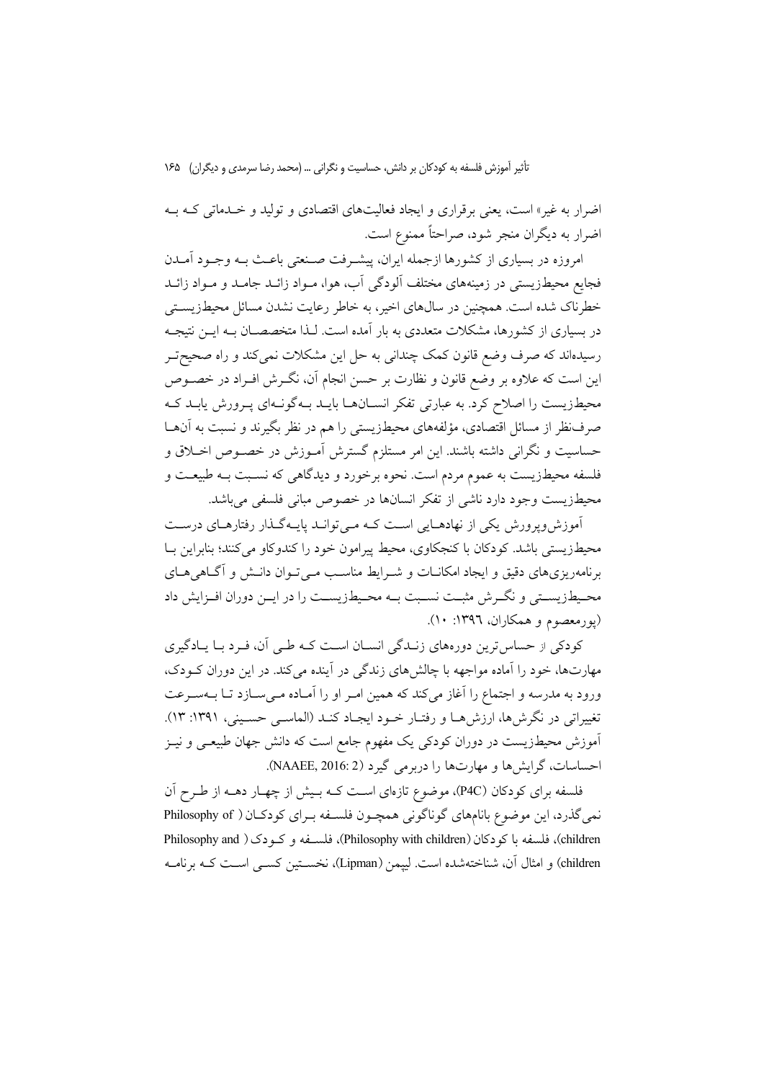اضرار به غیر» است، یعنی برقراری و ایجاد فعالیتهای اقتصادی و تولید و خـدماتی کـه بـه اضرار به دیگران منجر شود، صراحتاً ممنوع است.

امروزه در بسیاری از کشورها ازجمله ایران، پیشـرفت صـنعتی باعـث بـه وجـود اَمــدن فجایع محیطزیستی در زمینههای مختلف آلودگی آب، هوا، مـواد زائــد جامــد و مــواد زائــد خطرناک شده است. همچنین در سالهای اخیر، به خاطر رعایت نشدن مسائل محیطزیستی در بسیاری از کشورها، مشکلات متعددی به بار آمده است. لـذا متخصصـان بــه ایــن نتیجــه رسیدهاند که صرف وضع قانون کمک چندانی به حل این مشکلات نمیکند و راه صحیح تـر این است که علاوه بر وضع قانون و نظارت بر حسن انجام آن، نگــرش افــراد در خصــوص محیطزیست را اصلاح کرد. به عبارتی تفکر انســانهــا بایــد بــهگونــهای پــرورش پابــد کــه صرفنظر از مسائل اقتصادی، مؤلفههای محیطزیستی را هم در نظر بگیرند و نسبت به آنهـا حساسیت و نگرانی داشته باشند. این امر مستلزم گسترش آمـوزش در خصـوص اخـلاق و فلسفه محیطزیست به عموم مردم است. نحوه برخورد و دیدگاهی که نسـبت بـه طبیعـت و محيطزيست وجود دارد ناشي از تفكر انسانها در خصوص مباني فلسفى مى باشد.

آموزش وپرورش یکی از نهادهـایی اسـت کـه مـیتوانـد پایـهگـذار رفتارهـای درسـت محیطزیستی باشد. کودکان با کنجکاوی، محیط پیرامون خود را کندوکاو میکنند؛ بنابراین بـا برنامهریزی های دقیق و ایجاد امکانیات و شیرایط مناسب مبے تبوان دانیش و آگیاهی هیای محـيطـزيســتي و نگــرش مثبــت نســبت بــه محـيطـزيســت را در ايــن دوران افــزايش داد (يورمعصوم و همكاران، ١٣٩٦: ١٠).

کودکی از حساس ترین دورههای زنـدگی انسـان اسـت کـه طـی آن، فـرد بـا یـادگیری مهارتها، خود را آماده مواجهه با چالشهای زندگی در آینده می کند. در این دوران کـودک، ورود به مدرسه و اجتماع را آغاز میکند که همین امـر او را آمـاده مـیسـازد تـا بــهسـرعت تغییراتی در نگرش۵ما، ارزش۵ما و رفتـار خــود ایجـاد کنــد (الماســی حسـینی، ۱۳۹۱: ۱۳). آموزش محیطزیست در دوران کودک<sub>ی</sub> یک مفهوم جامع است که دانش جهان طبیعـی و نیــز احساسات، گرایشها و مهارتها را دربرمی گیرد (NAAEE, 2016: 2).

فلسفه برای کودکان (P4C)، موضوع تازهای است کـه بـیش از چهـار دهــه از طـرح آن نمی گذرد، این موضوع بانامهای گوناگونی همچـون فلسـفه بـرای کودکـان ( Philosophy of children)، فلسفه با كودكان (Philosophy with children)، فلسـفه و كـودك ( Philosophy and children) و امثال آن، شناختهشده است. لييمن (Lipman)، نخســتين كســي اســت كــه برنامــه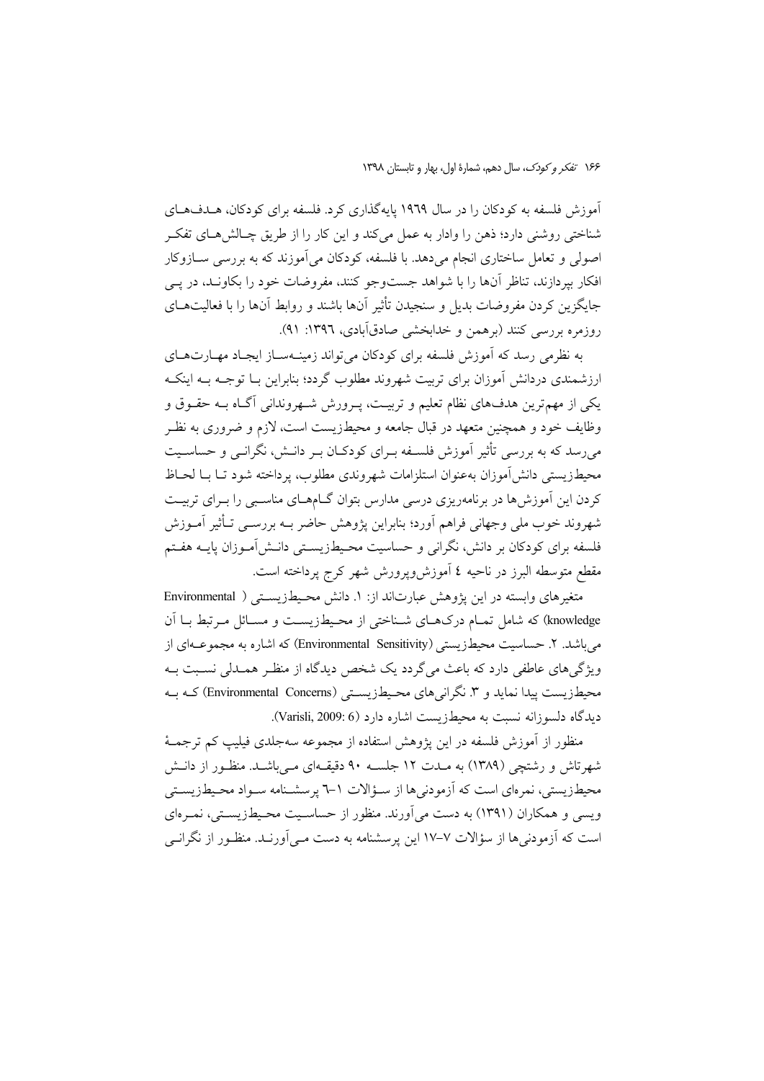آموزش فلسفه به کودکان را در سال ۱۹۶۹ پایهگذاری کرد. فلسفه برای کودکان، هـدفهـای شناختی روشنی دارد؛ ذهن را وادار به عمل میکند و این کار را از طریق چـالش۵هـای تفکـر اصولی و تعامل ساختاری انجام می۵دهد. با فلسفه، کودکان می آموزند که به بررسی ســازوکار افکار بیردازند، تناظر آنها را با شواهد جستوجو کنند، مفروضات خود را بکاونـد، در یــی جایگزین کردن مفروضات بدیل و سنجیدن تأثیر آنها باشند و روابط آنها را با فعالیتهـای روزمره بررسی کنند (برهمن و خدابخشی صادقآبادی، ۱۳۹۲: ۹۱).

به نظرمی رسد که آموزش فلسفه برای کودکان می تواند زمینـهسـاز ایجـاد مهـارتهـای ارزشمندی دردانش آموزان برای تربیت شهروند مطلوب گردد؛ بنابراین بـا توجـه بـه اینکـه یکی از مهم ترین هدفهای نظام تعلیم و تربیـت، پـرورش شـهروندانی آگـاه بــه حقـوق و وظایف خود و همچنین متعهد در قبال جامعه و محیطزیست است، لازم و ضروری به نظـر می رسد که به بررسی تأثیر آموزش فلسـفه بـرای کودکـان بـر دانـش، نگرانـی و حساسـیت محيطزيستي دانش آموزان بهعنوان استلزامات شهروندي مطلوب، يرداخته شود تــا بــا لحــاظ کردن این آموزش ها در برنامهریزی درسی مدارس بتوان گــامهــای مناسـبی را بــرای تربیــت شهروند خوب ملی وجهانی فراهم اَورد؛ بنابراین پژوهش حاضر بــه بررســی تــأثیر اَمــوزش فلسفه برای کودکان بر دانش، نگرانی و حساسیت محـیطـزیســتی دانــش[مــوزان پایــه هفــتم مقطع متوسطه البرز در ناحيه ٤ آموزش ويرورش شهر كرج يرداخته است.

متغیرهای وابسته در این پژوهش عبارتاند از: ١. دانش محیطزیستی ( Environmental knowledge) که شامل تمـام درکهـای شـناختی از محـیطـزیسـت و مسـائل مـرتبط بـا آن می باشد. ۲. حساسیت محیطزیستی (Environmental Sensitivity) که اشاره به مجموعـهای از ویژگیهای عاطفی دارد که باعث میگردد یک شخص دیدگاه از منظـر همـدلی نسـبت بــه محیطزیست پیدا نماید و ۳. نگرانیهای محیطزیستی (Environmental Concerns) کـه بـه ديدگاه دلسوزانه نسبت به محيطزيست اشاره دارد (Varisli, 2009: 6).

منظور از آموزش فلسفه در این یژوهش استفاده از مجموعه سهجلدی فیلیپ کم ترجمـهٔ شهرتاش و رشتچی (۱۳۸۹) به مـدت ۱۲ جلســه ۹۰ دقیقــهای مــ پاشــد. منظـور از دانــش محیطزیستی، نمرهای است که آزمودنیها از سـؤالات ۱–۳ پرسشـنامه سـواد محـیطزیسـتی ویسی و همکاران (۱۳۹۱) به دست می آورند. منظور از حساسـیت محـیطزیسـتی، نمـرهای است که اَزمودنے ها از سؤالات ۷–۱۷ این پرسشنامه به دست مے اَورنید. منظـور از نگرانـے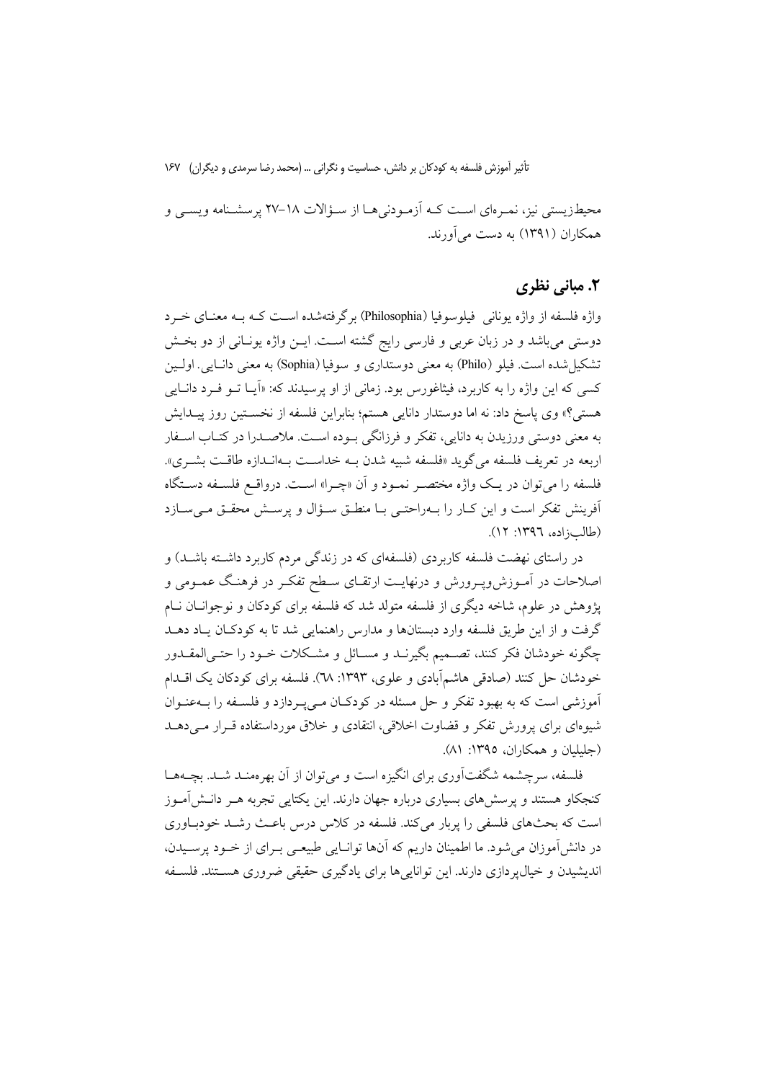محیطزیستی نیز، نمـرهای اسـت کـه آزمـودنیهـا از سـؤالات ١٨-٢٧ پرسشـنامه ویسـی و همکاران (۱۳۹۱) به دست مرآورند.

#### ٢. مباني نظري

واژه فلسفه از واژه یونانی ِ فیلوسوفیا (Philosophia) برگرفتهشده است کـه بـه معنــای خــرد دوستی میباشد و در زبان عربی و فارسی رایج گشته اسـت. ایــن واژه یونــانی از دو بخــش تشکیل شده است. فیلو (Philo) به معنی دوستداری و سوفیا (Sophia) به معنی دانـایی. اولـین کسي که اين واژه را به کاربرد، فيثاغورس بود. زماني از او پرسيدند که: «اَيــا تــو فــرد دانــايي هستی؟» وی یاسخ داد: نه اما دوستدار دانایی هستم؛ بنابراین فلسفه از نخسـتین روز پیـدایش به معنی دوستی ورزیدن به دانایی، تفکر و فرزانگی بـوده اسـت. ملاصـدرا در کتـاب اسـفار اربعه در تعریف فلسفه می گوید «فلسفه شبیه شدن بـه خداسـت بـهانـدازه طاقـت بشــری». فلسفه را مي توان در يك واژه مختصـر نمـود و آن «چـرا» اسـت. درواقـع فلسـفه دسـتگاه أفرينش تفكر است و اين كبار را ببهراحتبي بيا منطبق سـؤال و پرسـش محقبق مـيسبازد (طالب; اده، ١٣٩٦: ١٢).

در راستای نهضت فلسفه کاربردی (فلسفهای که در زندگی مردم کاربرد داشــته باشــد) و اصلاحات در آمـوزش٫وپـرورش و درنهایـت ارتقـای سـطح تفکـر در فرهنـگ عمـومی و پژوهش در علوم، شاخه دیگری از فلسفه متولد شد که فلسفه برای کودکان و نوجوانــان نــام گرفت و از این طریق فلسفه وارد دبستانها و مدارس راهنمایی شد تا به کودکـان یـاد دهــد چگونه خودشان فکر کنند، تصـمیم بگیرنــد و مســائل و مشــکلات خــود را حتــی|لمقــدور خودشان حل كنند (صادقي هاشمآبادي و علوي، ١٣٩٣: ٦٨). فلسفه براي كودكان يك اقـــدام آموزشی است که به بهبود تفکر و حل مسئله در کودکـان مـی پـردازد و فلسـفه را بــهعنـوان شبوءای برای پرورش تفکر و قضاوت اخلاقی، انتقادی و خلاق مورداستفاده قبرار می دهید (حليليان و همكاران، ١٣٩٥: ٨١).

فلسفه، سرچشمه شگفتآوری برای انگیزه است و می توان از آن بهرهمنـد شـد. بچــههـا کنجکاو هستند و پرسش۵های بسیاری درباره جهان دارند. این یکتایی تجربه هـر دانـش|مـوز است که بحثهای فلسفی را بربار می کند. فلسفه در کلاس درس باعث رشید خودیاوری در دانش آموزان می شود. ما اطمینان داریم که آنها توانــایی طبیعــی بــرای از خــود پرســیدن، اندیشیدن و خیال پر دازی دارند. این توانایی ها برای یادگیری حقیقی ضروری هستند. فلسنفه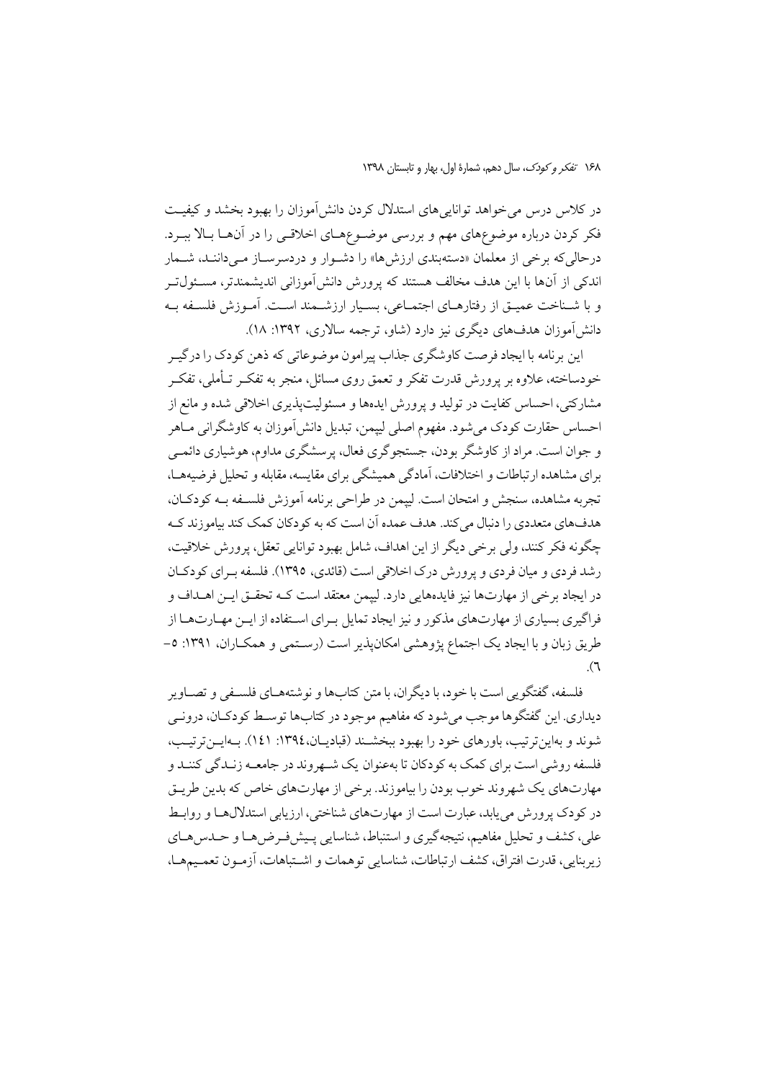١۶٨ تفكر وكودك، سال دهم، شمارة اول، بهار و تابستان ١٣٩٨

در کلاس درس می خواهد توانایی های استدلال کردن دانش آموزان را بهبود بخشد و کیفیت فکر کردن درباره موضوعهای مهم و بررسی موضـوعهـای اخلاقـی را در آنهـا بـالا ببـرد. درحالی که برخی از معلمان «دستهبندی ارزشها» را دشـوار و دردسرسـاز مـیداننـد، شـمار اندکی از آنها با این هدف مخالف هستند که پرورش دانش آموزانی اندیشمندتر، مسـئول تــر و با شـناخت عميــق از رفتارهــاي اجتمــاعي، بســيار ارزشــمند اســت. آمــوزش فلســفه بــه دانش آموزان هدفهای دیگری نیز دارد (شاو، ترجمه سالاری، ۱۳۹۲: ۱۸).

این برنامه با ایجاد فرصت کاوشگری جذاب پیرامون موضوعاتی که ذهن کودک را درگیـر خودساخته، علاوه بر یرورش قدرت تفکر و تعمق روی مسائل، منجر به تفکـر تــأملي، تفکـر مشارکتی، احساس کفایت در تولید و پرورش ایدهها و مسئولیتیذیری اخلاقی شده و مانع از احساس حقارت کودک می شود. مفهوم اصلی لیپمن، تبدیل دانش آموزان به کاوشگرانی مــاهر و جوان است. مراد از کاوشگر بودن، جستجوگري فعال، پرسشگري مداوم، هوشياري دائمي برای مشاهده ارتباطات و اختلافات، آمادگی همیشگی برای مقایسه، مقابله و تحلیل فرضیههــا، تجربه مشاهده، سنجش و امتحان است. لييمن در طراحي برنامه أموزش فلسـفه بــه كودكـان، هدفهاي متعددي را دنبال مي كند. هدف عمده آن است كه به كودكان كمك كند بياموزند كـه چگونه فکر کنند، ولي برخي ديگر از اين اهداف، شامل بهبود توانايي تعقل، پرورش خلاقيت، رشد فردي و ميان فردي و يرورش درک اخلاقي است (قائدي، ١٣٩٥). فلسفه بـراي كودكـان در ايجاد برخي از مهارتها نيز فايدههايي دارد. لييمن معتقد است كـه تحقـق ايـن اهــداف و فراگیری بسیاری از مهارتهای مذکور و نیز ایجاد تمایل بـرای اسـتفاده از ایــن مهــارتهــا از طریق زبان و یا ایجاد یک اجتماع پژوهشی امکان پذیر است (رستمی و همکباران، ۱۳۹۱: ۵- $\mathcal{L}$ 

فلسفه، گفتگویی است با خود، با دیگران، با متن کتابها و نوشتههـاي فلسـفي و تصـاوير دیداری. این گفتگوها موجب میشود که مفاهیم موجود در کتابها توسط کودکـان، درونــی شوند و بهاین ترتیب، باورهای خود را بهبود ببخشـند (قبادیـان،١٣٩٤: ١٤١). بـهایـنترتیـب، فلسفه روشي است براي كمك به كودكان تا بهعنوان يك شــهروند در جامعــه زنــدگي كننــد و مهارتهای یک شهروند خوب بودن را بیاموزند. برخی از مهارتهای خاص که بدین طریـق در کودک پرورش می پابد، عبارت است از مهارتهای شناختی، ارزیابی استدلالهـا و روابـط علی، کشف و تحلیل مفاهیم، نتیجه گیری و استنباط، شناسایی پـیشفـرض۵هـا و حـدس۱هـای زيربنايي، قدرت افتراق، كشف ارتباطات، شناسايي توهمات و اشتباهات، آزمون تعميمها،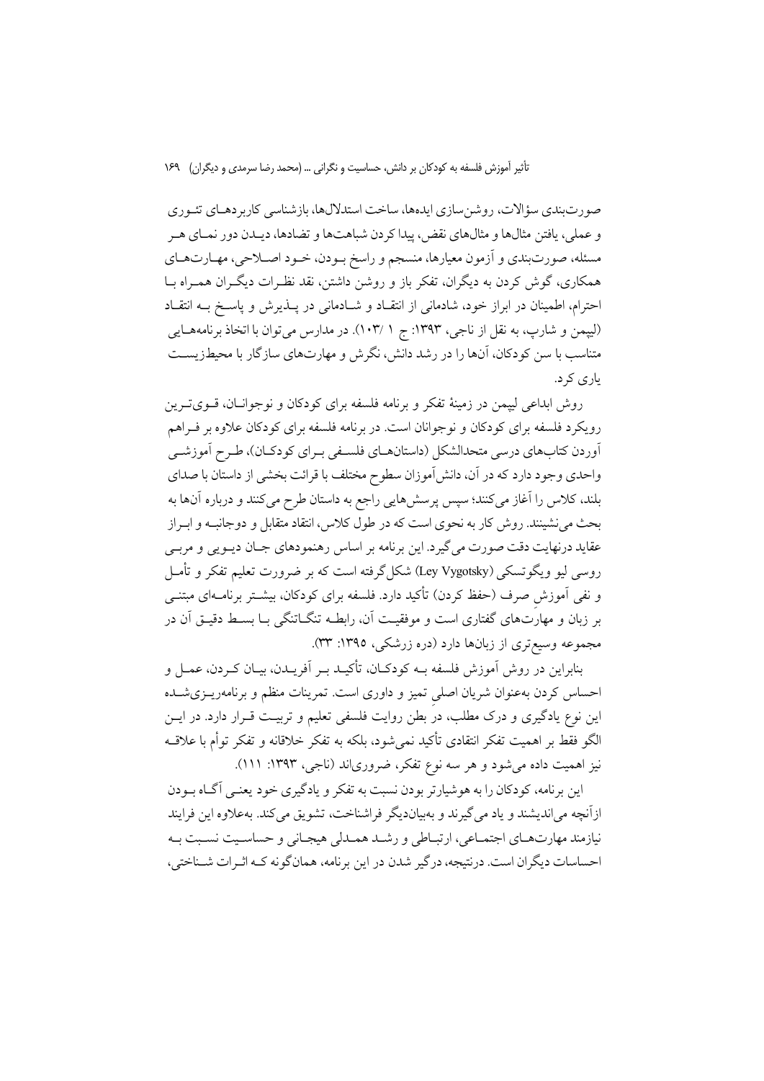صورتبندي سؤالات، روشنسازي ايدهها، ساخت استدلالها، بازشناسي كاربر دهـاي تئـوري و عملي، يافتن مثالها و مثالهاي نقض، پيدا كردن شباهتها و تضادها، ديـدن دور نمـاي هـر مسئله، صورتبندي و آزمون معيارها، منسجم و راسخ بـودن، خـود اصـلاحي، مهـارتهـاي همکاری، گوش کردن به دیگران، تفکر باز و روشن داشتن، نقد نظـرات دیگـران همـراه بــا احترام، اطمینان در ابراز خود، شادمانی از انتقـاد و شـادمانی در پــذیرش و پاسـخ بــه انتقـاد (لييمن و شارب، به نقل از ناجي، ١٣٩٣: ج ١ /١٠٣). در مدارس مي توان با اتخاذ برنامههـايي متناسب با سن کودکان، آنها را در رشد دانش، نگرش و مهارتهای سازگار با محیطزیسـت یاری کر د.

روش ابداعی لییمن در زمینهٔ تفکر و برنامه فلسفه برای کودکان و نوجوانـان، قــویتــرین رویکرد فلسفه برای کودکان و نوجوانان است. در برنامه فلسفه برای کودکان علاوه بر فـراهم أوردن كتابهاي درسي متحدالشكل (داستانهـاي فلسـفي بـراي كودكـان)، طـرح أموزشـي واحدی وجود دارد که در آن، دانش[موزان سطوح مختلف با قرائت بخشی از داستان با صدای بلند، کلاس را آغاز میکنند؛ سپس پرسش،ایی راجع به داستان طرح میکنند و درباره آنها به بحث می نشینند. روش کار به نحوی است که در طول کلاس، انتقاد متقابل و دوجانب و ابـراز عقاید درنهایت دقت صورت می گیرد. این برنامه بر اساس رهنمودهای جـان دیــویی و مربــی روسی لیو ویگوتسکی (Ley Vygotsky) شکل گرفته است که بر ضرورت تعلیم تفکر و تأمـل و نفی آموزش صرف (حفظ کردن) تأکید دارد. فلسفه برای کودکان، بیشــتر برنامــهای مبتنــی بر زبان و مهارَتهای گفتاری است و موفقیـت آن، رابطــه تنگــاتنگی بــا بســط دقیــق آن در مجموعه وسیعتری از زبانها دارد (دره زرشکی، ۱۳۹۵: ۳۳).

بنابراین در روش آموزش فلسفه بـه کودکـان، تأکیـد بـر آفریــدن، بیــان کــردن، عمــل و احساس کردن بهعنوان شریان اصلی تمیز و داوری است. تمرینات منظم و برنامهریـزیشـده این نوع یادگیری و درک مطلب، در بطن روایت فلسفی تعلیم و تربیت قـرار دارد. در ایــن الگو فقط بر اهميت تفكر انتقادى تأكيد نمى شود، بلكه به تفكر خلاقانه و تفكر توأم با علاقــه نیز اهمیت داده میشود و هر سه نوع تفکر، ضروریاند (ناجی، ۱۳۹۳: ۱۱۱).

این برنامه، کودکان را به هوشیارتر بودن نسبت به تفکر و یادگیری خود یعنـی آگـاه بـودن ازآنچه میاندیشند و یاد میگیرند و بهبیاندیگر فراشناخت، تشویق میکند. بهعلاوه این فرایند نیازمند مهارت هیای اجتماعی، از تساطی و رشید همیدلی هیچیانی و حساسیت نسبت پیه احساسات دیگران است. درنتیجه، درگیر شدن در این برنامه، همان گونه کـه اثـرات شـناختی،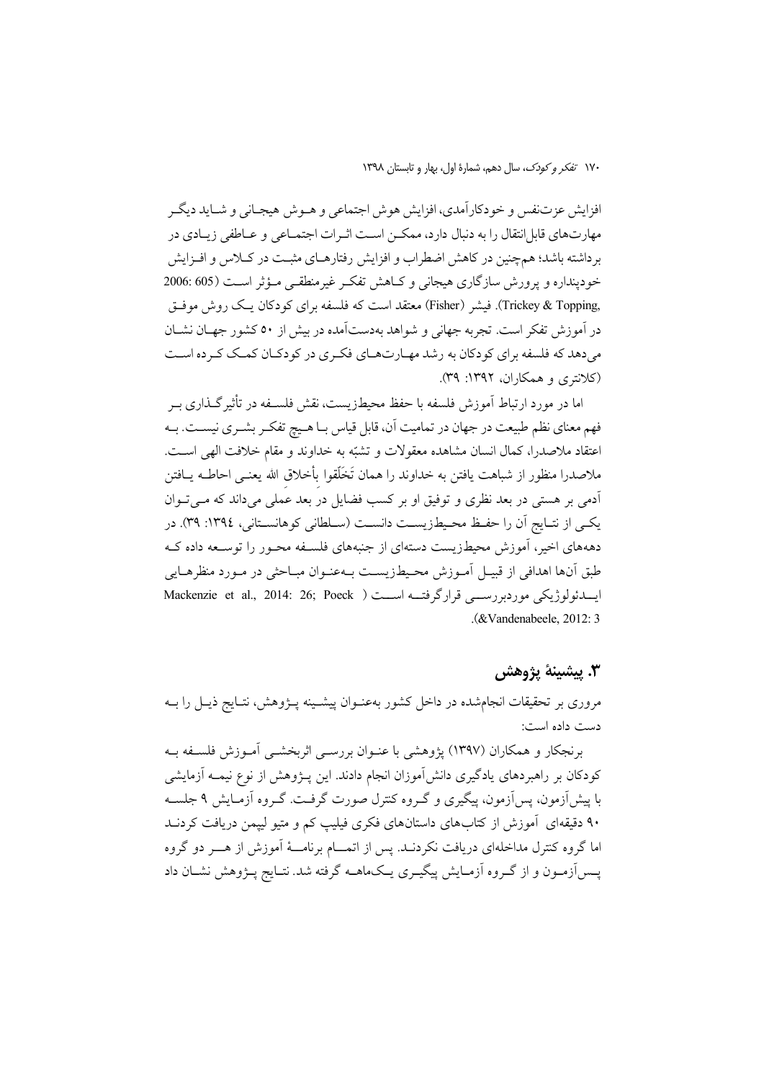افزايش عزتنفس و خودكارآمدي، افزايش هوش اجتماعي و هــوش هيجــاني و شــايد ديگــر مهارتهای قابل|نتقال را به دنبال دارد، ممکــن اســت اثــرات اجتمــاعی و عــاطفی زیــادی در برداشته باشد؛ همچنین در کاهش اضطراب و افزایش رفتارهـای مثبـت در کــلاس و افــزایش خودينداره و يرورش سازگاري هيجاني و كـاهش تفكـر غيرمنطقـي مـؤثر اسـت (605:606 ,Trickey & Topping). فیشر (Fisher) معتقد است که فلسفه برای کو دکان یک روش موفـق در آموزش تفکر است. تجربه جهانی و شواهد بهدستآمده در بیش از ۵۰ کشور جهـان نشــان میدهد که فلسفه برای کودکان به رشد مهـارتهـای فکـری در کودکـان کمـک کـرده اسـت (کلانټري و همکاران، ۱۳۹۲: ۳۹).

اما در مورد ارتباط آموزش فلسفه با حفظ محیطزیست، نقش فلســفه در تأثیر گــذاری بــر فهم معنای نظم طبیعت در جهان در تمامیت آن، قابل قیاس بـا هـیچ تفکـر بشـری نیسـت. بـه اعتقاد ملاصدرا، كمال انسان مشاهده معقولات و تشبّه به خداوند و مقام خلافت الهي اسـت. ملاصدرا منظور از شباهت يافتن به خداوند را همان تَخَلَّقوا بأخلاق الله يعنــي احاطــه يــافتن ۔<br>آدمی بر هستی در بعد نظری و توفیق او بر کسب فضایل در بعد عُملی میداند که مــیتــوان يكيي از نتـايج أن را حفـظ محـيطـزيسـت دانسـت (سـلطاني كوهانسـتاني، ١٣٩٤: ٣٩). در دهههای اخیر، آموزش محیطزیست دستهای از جنبههای فلسـفه محـور را توسـعه داده کـه طبق آنها اهدافي از قبيـل آمـوزش محـيطـزيسـت بــهعنـوان مبــاحثى در مــورد منظرهــايي ايسدئولوژيكى موردبررســي قرارگرفتــه اســـت ( Mackenzie et al., 2014: 26; Poeck .(&Vandenabeele, 2012; 3)

### ٣. پيشينۀ پژوهش

مروری بر تحقیقات انجامشده در داخل کشور بهعنـوان پیشـینه پــژوهش، نتــایج ذیــل را بــه دست داده است:

برنجکار و همکاران (۱۳۹۷) پژوهشی با عنـوان بررســی اثربخشــی آمـوزش فلســفه بــه کودکان بر راهبردهای یادگیری دانشآموزان انجام دادند. این پـژوهش از نوع نیمــه آزمایشی با پیش اَزمون، پس اَزمون، پیگیری و گـروه کنترل صورت گرفـت. گـروه اَزمـایش ۹ جلسـه ۹۰ دقیقهای آموزش از کتابهای داستانهای فکری فیلیپ کم و متیو لیپمن دریافت کردنــد اما گروه کنترل مداخلهای دریافت نکردنــد. پس از اتمــــام برنامــــهٔ آموزش از هــــر دو گروه پــسآزمــون و از گــروه آزمــایش پیگیــری یــکـماهــه گرفته شد. نتــایج پــژوهش نشــان داد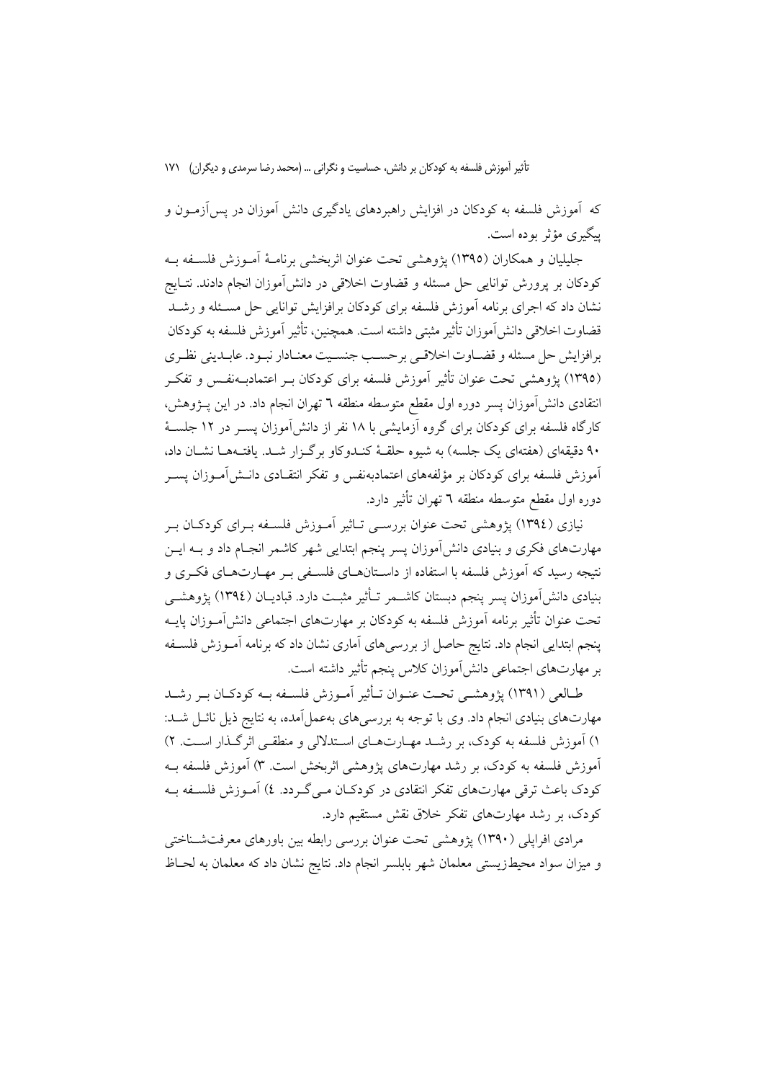که آموزش فلسفه به کودکان در افزایش راهبردهای یادگیری دانش آموزان در پسآزمــون و پېگېرې مؤثر يوده است.

جليليان و همكاران (١٣٩٥) يژوهشي تحت عنوان اثربخشي برنامـهٔ آمـوزش فلسـفه بـه كودكان بر يرورش توانايي حل مسئله و قضاوت اخلاقي در دانش آموزان انجام دادند. نتــايج نشان داد که اجرای برنامه آموزش فلسفه برای کودکان برافزایش توانایی حل مسـئله و رشــد قضاوت اخلاقی دانش آموزان تأثیر مثبتی داشته است. همچنین، تأثیر آموزش فلسفه به کودکان برافزايش حل مسئله و قضـاوت اخلاقـي برحسـب جنسـيت معنـادار نبـود. عابـديني نظـري (١٣٩٥) يژوهشي تحت عنوان تأثير آموزش فلسفه براي كودكان بــر اعتمادبــهنفــس و تفكــر انتقادى دانش[موزان يسر دوره اول مقطع متوسطه منطقه ٦ تهران انجام داد. در اين يـــژوهش، کارگاه فلسفه برای کودکان برای گروه آزمایشی با ۱۸ نفر از دانش آموزان پســر در ۱۲ جلســهٔ ۹۰ دقیقهای (هفتهای یک جلسه) به شیوه حلقهٔ کنـدوکاو برگـزار شـد. یافتـههـا نشـان داد، آموزش فلسفه برای کودکان بر مؤلفههای اعتمادبهنفس و تفکر انتقـادی دانــشlآمـوزان پســر دوره اول مقطع متوسطه منطقه ٦ تهران تأثير دارد.

نیازی (١٣٩٤) پژوهشی تحت عنوان بررسـی تـاثیر آمـوزش فلسـفه بـرای کودکـان بـر مهارتهای فکری و بنیادی دانشآموزان پسر پنجم ابتدایی شهر کاشمر انجـام داد و بــه ایــن نتیجه رسید که آموزش فلسفه با استفاده از داسـتانهــای فلســفی بــر مهــارتهــای فکــری و بنیادی دانش[موزان پسر پنجم دبستان کاشــمر تــأثیر مثبــت دارد. قبادیــان (١٣٩٤) پژوهشــی تحت عنوان تأثیر برنامه آموزش فلسفه به کودکان بر مهارتهای اجتماعی دانش آمـوزان پایــه پنجم ابتدایی انجام داد. نتایج حاصل از بررسیهای آماری نشان داد که برنامه آمـوزش فلسـفه بر مهارتهای اجتماعی دانش آموزان کلاس پنجم تأثیر داشته است.

طــالعي (١٣٩١) يژوهشــي تحــت عنــوان تــأثير آمــوزش فلســفه بــه كودكــان بــر رشــد مهارتهای بنیادی انجام داد. وی با توجه به بررسیهای بهعمل آمده، به نتایج ذیل نائــل شــد: ۱) آموزش فلسفه به کودک، بر رشـد مهـارتهـای اسـتدلالی و منطقـی اثرگـذار اسـت. ۲) آموزش فلسفه به کودک، بر رشد مهارتهای یژوهشی اثربخش است. ۳) آموزش فلسفه بـه کودک باعث ترقی مهارتهای تفکر انتقادی در کودکـان مـی گـردد. ٤) آمـوزش فلسـفه بـه کودک، بر رشد مهارتهای تفکر خلاق نقش مستقیم دارد.

مرادی افراپلی (۱۳۹۰) پژوهشی تحت عنوان بررسی رابطه بین باورهای معرفتشـناختی و میزان سواد محیطزیستی معلمان شهر بابلسر انجام داد. نتایج نشان داد که معلمان به لحـاظ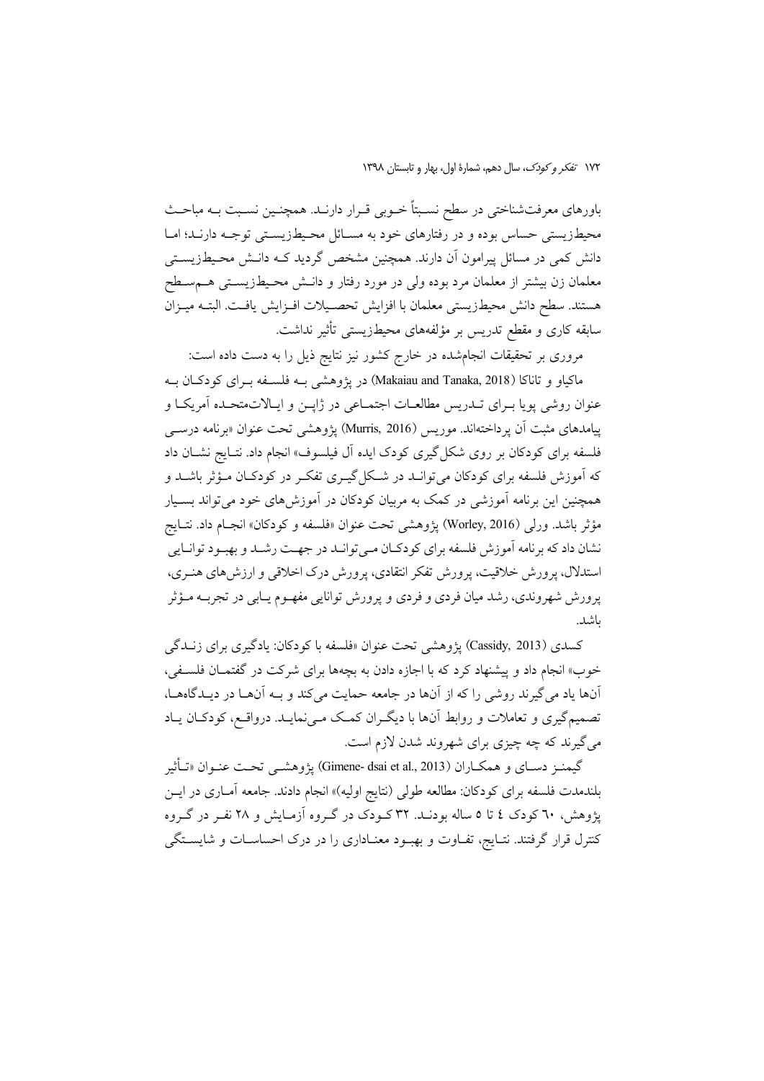باورهای معرفتشناختی در سطح نسـبتاً خــوبی قــرار دارنــد. همچنــین نســبت بــه مباحــث محیطزیستی حساس بوده و در رفتارهای خود به مسـائل محـیطزیسـتی توجـه دارنـد؛ امـا دانش کمی در مسائل پیرامون اَن دارند. همچنین مشخص گردید کــه دانــش محــیطـزیســتی معلمان زن بیشتر از معلمان مرد بوده ولی در مورد رفتار و دانـش محـیطـزیسـتـی هــمسـطح هستند. سطح دانش محيطزيستي معلمان با افزايش تحصـيلات افـزايش يافـت. البتــه ميـزان سابقه کاری و مقطع تدریس بر مؤلفههای محیطزیستی تأثیر نداشت.

مروری بر تحقیقات انجامشده در خارج کشور نیز نتایج ذیل را به دست داده است:

ماکیاو و تاناکا (Makaiau and Tanaka, 2018) در یژوهشی بـه فلسـفه بـرای کودکـان بـه عنوان روشي پويا بـراي تــدريس مطالعــات اجتمــاعي در ژاپــن و ايــالاتمتحـده آمريكــا و پیامدهای مثبت آن پر داختهاند. موریس (Murris, 2016) پژوهشی تحت عنوان «برنامه درسبی فلسفه برای کودکان بر روی شکل گیری کودک ایده آل فیلسوف» انجام داد. نتـایج نشـان داد که اَموزش فلسفه برای کودکان می توانــد در شــکل گیــری تفکــر در کودکــان مــؤثر باشــد و همچنین این برنامه آموزشی در کمک به مربیان کودکان در آموزش۵مای خود میتواند بسـیار مؤثر باشد. ورلي (Worley, 2016) پژوهشي تحت عنوان «فلسفه و كودكان» انجـام داد. نتـايج نشان داد که برنامه آموزش فلسفه براي کودکـان مـيتوانــد در جهـت رشــد و بهبـود توانــايي استدلال، پرورش خلاقیت، پرورش تفکر انتقادی، پرورش درک اخلاقی و ارزش های هنری، پرورش شهروندي، رشد ميان فردي و فردي و پرورش توانايي مفهــوم يــابي در تجربــه مــؤثر باشد.

كسدى (Cassidy, 2013) يژوهشي تحت عنوان «فلسفه با كودكان: يادگيري براي زنــدگي خوب» انجام داد و پیشنهاد کرد که با اجازه دادن به بچهها برای شرکت در گفتمــان فلســفی، آنها یاد می گیرند روشی را که از آنها در جامعه حمایت می کند و بـه آنهـا در دیـدگاههـا، تصمیم گیری و تعاملات و روابط آنها با دیگـران کمـک مـینمایـد. درواقـع، کودکـان یـاد می گیرند که چه چیزی برای شهروند شدن لازم است.

گيمنـز دسـاي و همكـاران (Gimene- dsai et al., 2013) يژوهشـي تحـت عنـوان «تـأثير بلندمدت فلسفه برای کودکان: مطالعه طول<sub>ی</sub> (نتایج اولیه)» انجام دادند. جامعه آمــاری در ایــن پژوهش، ٦٠ کودک ٤ تا ٥ ساله بودنـد. ٣٢ کــودک در گــروه آزمـايش و ٢٨ نفـر در گــروه کنترل قرار گرفتند. نتـايج، تفـاوت و بهبـود معنـاداري را در درک احساسـات و شايسـتگي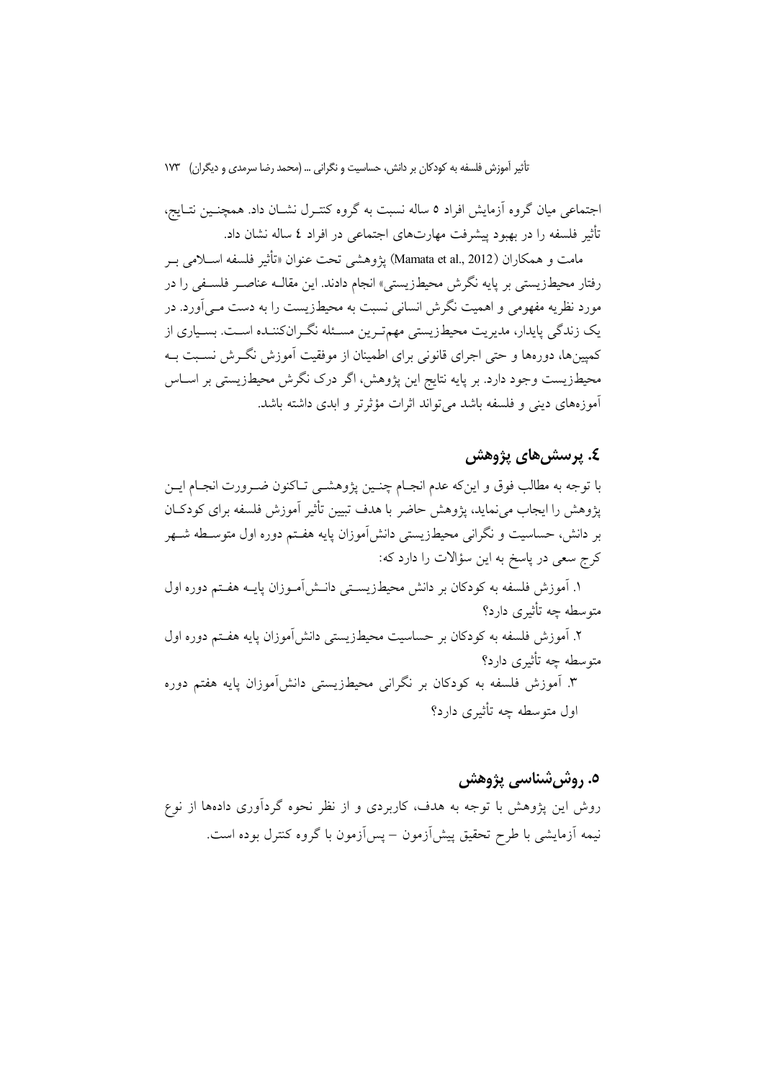اجتماعی میان گروه آزمایش افراد ٥ ساله نسبت به گروه کنتـرل نشـان داد. همچنـین نتـایج، تأثیر فلسفه را در بهبود پیشرفت مهارتهای اجتماعی در افراد ٤ ساله نشان داد.

مامت و همكاران (Mamata et al., 2012) يژوهشي تحت عنوان «تأثير فلسفه اســلامي بــر رفتار محیطزیستی بر پایه نگرش محیطزیستی» انجام دادند. این مقالــه عناصــر فلســفی را در مورد نظریه مفهومی و اهمیت نگرش انسانی نسبت به محیطزیست را به دست مـی آورد. در یک زندگی پایدار، مدیریت محیطزیستی مهمتـرین مسـئله نگـرانکننـده اسـت. بسـیاری از کمپینها، دورهها و حتی اجرای قانونی برای اطمینان از موفقیت آموزش نگـرش نسـبت بـه محیطزیست وجود دارد. بر پایه نتایج این پژوهش، اگر درک نگرش محیطزیستی بر اسـاس آموزههای دینی و فلسفه باشد می تواند اثرات مؤثرتر و ابدی داشته باشد.

## ٤. پرسش هاي پژوهش

با توجه به مطالب فوق و اين كه عدم انجـام چنـين يژوهشـي تـاكنون ضـرورت انجـام ايـن پژوهش را ایجاب می نماید، پژوهش حاضر با هدف تبیین تأثیر آموزش فلسفه برای کودکـان بر دانش، حساسیت و نگرانی محیطزیستی دانش[موزان پایه هفـتم دوره اول متوسـطه شــهر كرج سعى در ياسخ به اين سؤالات را دارد كه:

١. أموزش فلسفه به كودكان بر دانش محيطزيسـتي دانـش|مـوزان پايــه هفـتم دوره اول متوسطه چه تأثیری دارد؟

۲. آموزش فلسفه به کودکان بر حساسیت محیطزیستی دانش آموزان پایه هفـتم دوره اول متوسطه چه تأثیری دارد؟ ۳. آموزش فلسفه به کودکان بر نگرانی محیطزیستی دانش آموزان پایه هفتم دوره اول متوسطه چه تأثیری دارد؟

#### ٥. روش شناسي پژوهش

روش این یژوهش با توجه به هدف، کاربردی و از نظر نحوه گردآوری دادهها از نوع نیمه آزمایشی با طرح تحقیق پیشآزمون – یسآزمون با گروه کنترل بوده است.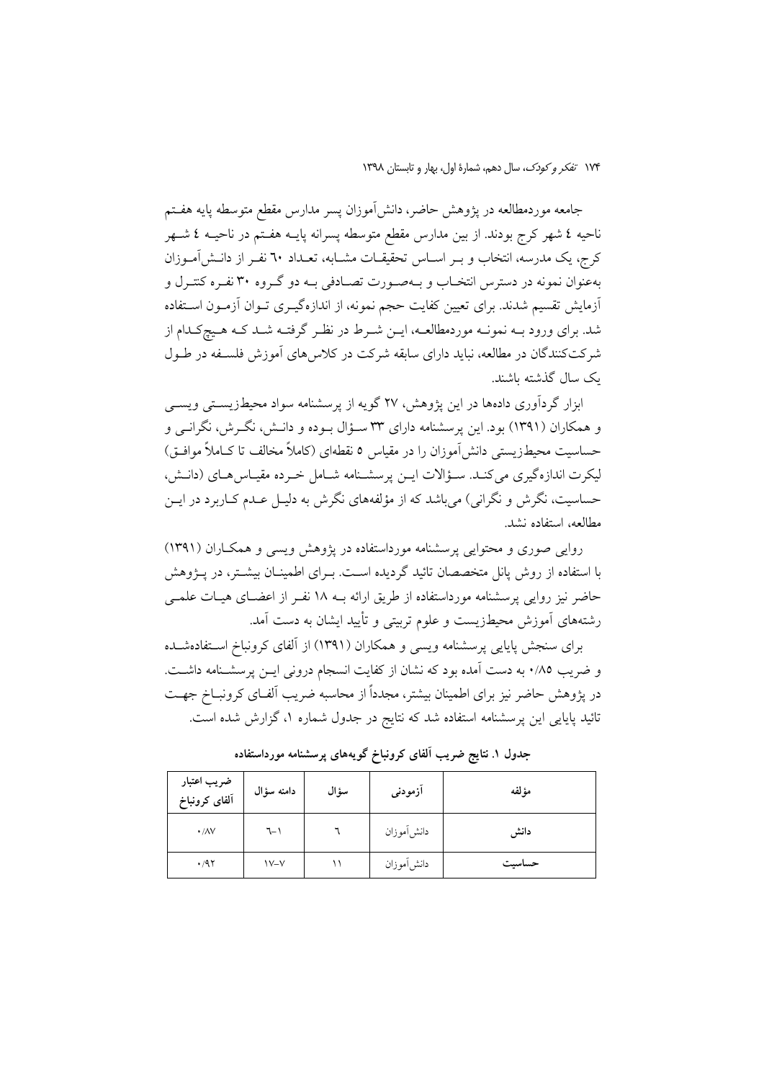جامعه موردمطالعه در يژوهش حاضر، دانش[موزان يسر مدارس مقطع متوسطه يايه هفـتم ناحیه ٤ شهر کرج بودند. از بین مدارس مقطع متوسطه پسرانه پایــه هفــتم در ناحیــه ٤ شــهر کرج، یک مدرسه، انتخاب و بـر اسـاس تحقیقـات مشـابه، تعـداد ٦٠ نفـر از دانــشآمــوزان بهعنوان نمونه در دسترس انتخـاب و بـهصـورت تصـادفی بـه دو گـروه ۳۰ نفـره کنتـرل و أزمايش تقسيم شدند. براي تعيين كفايت حجم نمونه، از اندازهگيـري تــوان أزمــون اســتفاده شد. برای ورود بــه نمونــه موردمطالعــه، ایــن شــرط در نظـر گرفتــه شــد کــه هــیجکـدام از شرکتکنندگان در مطالعه، نباید دارای سابقه شرکت در کلاس های آموزش فلسـفه در طـول ىك سال گذشته ىاشند.

ابزار گردآوری دادهها در این پژوهش، ۲۷ گویه از پرسشنامه سواد محیطزیستی ویسبی و همکاران (۱۳۹۱) بود. این پرسشنامه دارای ۳۳ سـؤال بـوده و دانـش، نگـرش، نگرانـی و حساسیت محیطزیستی دانش[موزان را در مقیاس ٥ نقطهای (کاملاً مخالف تا کــاملاً موافــق) ليكرت اندازه گيري مي كنـد. سـؤالات ايـن پرسشـنامه شـامل خـرده مقيـاس هـاي (دانـش، حساسیت، نگرش و نگرانی) می باشد که از مؤلفههای نگرش به دلیـل عـدم کــاربرد در ایــن مطالعه، استفاده نشد.

روایی صوری و محتوایی پرسشنامه مورداستفاده در پژوهش ویسی و همکاران (۱۳۹۱) با استفاده از روش پانل متخصصان تائید گردیده است. بـرای اطمینـان بیشـتر، در پـژوهش حاضر نیز روایی پرسشنامه مورداستفاده از طریق ارائه بــه ۱۸ نفـر از اعضــای هیــات علمـــ ٍ رشتههای آموزش محیطزیست و علوم تربیتی و تأیید ایشان به دست آمد.

برای سنجش پایایی پرسشنامه ویسی و همکاران (۱۳۹۱) از آلفای کرونباخ استفادهشده و ضريب ٠/٨٥ به دست آمده بود كه نشان از كفايت انسجام دروني ايــن يرسشـنامه داشــت. در پژوهش حاضر نیز برای اطمینان بیشتر، مجدداً از محاسبه ضریب آلفـای کرونبــاخ جهــت تائید پایایی این پرسشنامه استفاده شد که نتایج در جدول شماره ۱، گزارش شده است.

| ضريب اعتبار<br>آلفاى كرونباخ | دامنه سؤال | سؤال | آزمودنى    | مؤلفه  |
|------------------------------|------------|------|------------|--------|
| $\cdot/\lambda V$            | ٦-۱        |      | دانش موزان | دانش   |
| $\cdot$ /97                  | $V - V$    |      | دانش[موزان | حساسيت |

جدول ۱. نتایج ضریب آلفای کرونباخ گویههای پرسشنامه مورداستفاده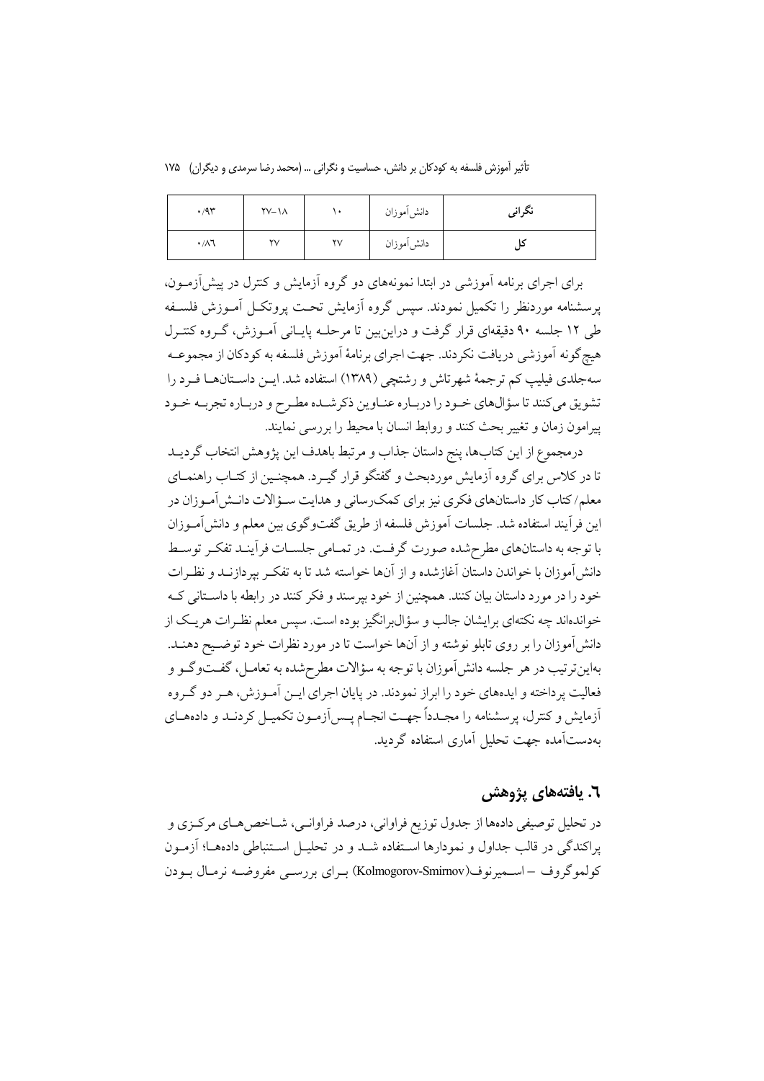تأثیر آموزش فلسفه به کودکان بر دانش، حساسیت و نگرانی … (محمد رضا سرمدی و دیگران) ۱۷۵

| .47               | $\Upsilon$ V- $\Lambda$ |                        | دانش موزان | نگراني |
|-------------------|-------------------------|------------------------|------------|--------|
| $\cdot/\lambda$ ٦ | $\mathsf{Y}\mathsf{V}$  | $\mathsf{Y}\mathsf{V}$ | دانش[موزان |        |

برای اجرای برنامه آموزشی در ابتدا نمونههای دو گروه آزمایش و کنترل در پیشآزمــون، يرسشنامه موردنظر را تكميل نمودند. سيس گروه آزمايش تحت يروتكل آمـوزش فلسـفه طی ۱۲ جلسه ۹۰ دقیقهای قرار گرفت و دراین بین تا مرحلـه پایـانی آمـوزش، گـروه کنتـرل هیچگونه آموزشی دریافت نکردند. جهت اجرای برنامهٔ آموزش فلسفه به کودکان از مجموعــه سهجلدي فيليب كم ترجمهٔ شهرتاش و رشتچي (١٣٨٩) استفاده شد. ايــن داسـتانهـا فـرد را تشویق میکنند تا سؤالهای خـود را دربـاره عنـاوین ذکرشـده مطـرح و دربـاره تجربـه خـود پیرامون زمان و تغییر بحث کنند و روابط انسان با محیط را بررسی نمایند.

درمجموع از اين كتابها، پنج داستان جذاب و مرتبط باهدف اين پژوهش انتخاب گرديــد تا در کلاس برای گروه آزمایش موردبحث و گفتگو قرار گیـرد. همچنـین از کتـاب راهنمـای معلم/کتاب کار داستانهای فکری نیز برای کمک رسانی و هدایت سـؤالات دانـش آمـوزان در اين فرآيند استفاده شد. جلسات آموزش فلسفه از طريق گفتوگوي بين معلم و دانش آمـوزان با توجه به داستانهای مطرحشده صورت گرفت. در تمـامی جلسـات فراًینـد تفکـر توسـط دانش آموزان با خواندن داستان آغازشده و از آنها خواسته شد تا به تفکـر بیردازنــد و نظـرات خود را در مورد داستان بیان کنند. همچنین از خود بیرسند و فکر کنند در رابطه با داسـتانی کـه خواندهاند چه نکتهای برایشان جالب و سؤال برانگیز بوده است. سپس معلم نظـرات هر یـک از دانش آموزان را بر روی تابلو نوشته و از آنها خواست تا در مورد نظرات خود توضـیح دهنـد. بهاين ترتيب در هر جلسه دانش آموزان با توجه به سؤالات مطرح شده به تعامــل، گفــتوگــو و فعالیت پر داخته و ایدههای خود را ابراز نمودند. در پایان اجرای ایــن آمــوزش، هــر دو گــروه أزمایش و کنترل، پرسشنامه را مجـدداً جهـت انجـام پـس[زمـون تکمیـل کردنـد و دادههـای بهدستآمده جهت تحلیل آماری استفاده گردید.

## ٦. يافتەهاي يژوهش

در تحلیل توصیفی دادهها از جدول توزیع فراوانی، درصد فراوانـی، شــاخص۵هـای مرکـزی و يراكندگي در قالب جداول و نمودارها استفاده شـد و در تحليـل اسـتنباطي دادههـا؛ آزمـون كولموگروف – اسـميرنوف(Kolmogorov-Smirnov) بـراي بررسـي مفروضـه نرمـال بـودن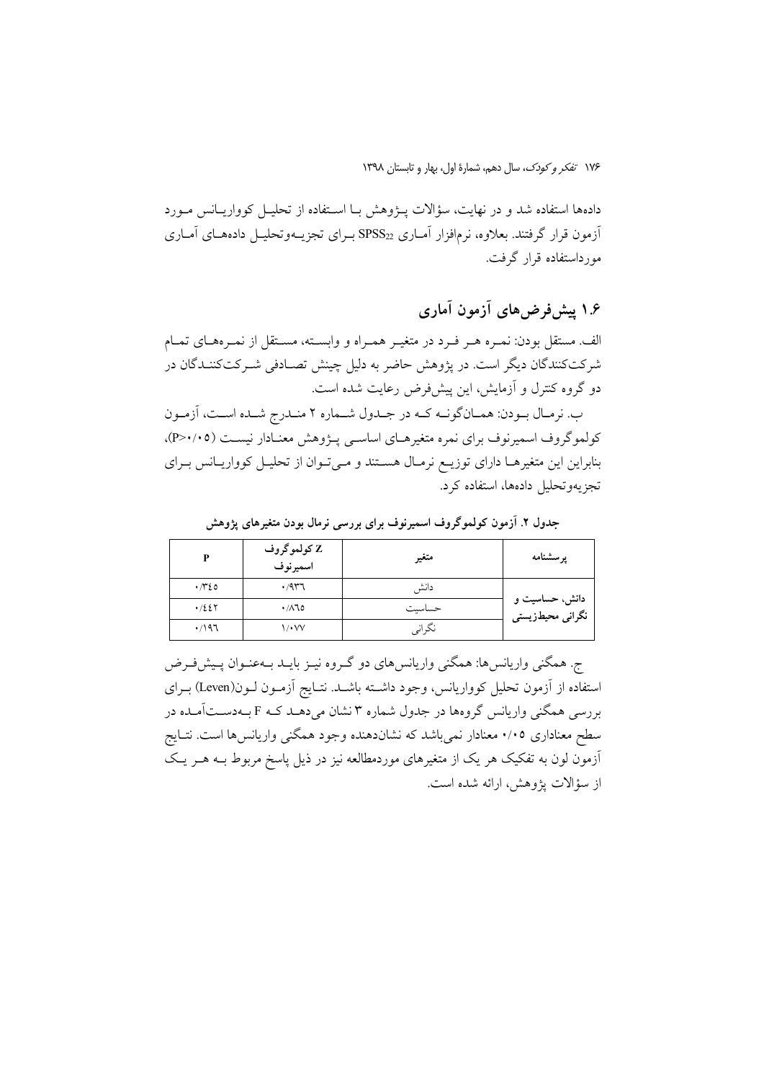دادهها استفاده شد و در نهایت، سؤالات پــژوهش بـا اسـتفاده از تحلیــل کوواریــانس مــورد آزمون قرار گرفتند. بعلاوه، نرمافزار آمــاری  $\mathrm{SPSS}_{22}$  بــرای تجزیــهوتحلیــل دادههــای آمــاری مورداستفاده قرار گرفت.

# ۱.۶ پیش فرض های آزمون آماری

الف. مستقل بودن: نمـره هـر فـرد در متغيـر همـراه و وابســته، مســتقل از نمـرههـاي تمـام شرکتکنندگان دیگر است. در پژوهش حاضر به دلیل چینش تصـادفی شـرکتکننـدگان در دو گروه کنترل و آزمایش، این پیشفررض رعایت شده است.

ب. نرمـال بـودن: همـانگونــه كــه در جـلـول شــماره ٢ منـلـرج شــلـه اســت، اَزمـون کولموگروف اسمیرنوف برای نمره متغیرهـای اساسـبی پـژوهش معنـادار نیسـت (٢٠٠٥)، بنابراین این متغیرهـا دارای توزیـع نرمـال هسـتند و مـیتوان از تحلیـل کوواریـانس بـرای تجزيهوتحليل دادهها، استفاده كرد.

| D              | Z کولموگروف<br>اسميرنوف | متغير  | پرسشنامه                           |
|----------------|-------------------------|--------|------------------------------------|
| $\cdot \pi$ 20 | .477                    | دانش   |                                    |
| .7227          | $\cdot$ /110            | حساسيت | دانش، حساسیت و<br>نگرانی محیطزیستی |
| .797           | <b>\/•\/</b>            | نگرانی |                                    |

جدول ۲. آزمون کولموگروف اسمیرنوف برای بررسی نرمال بودن متغیرهای پژوهش

ج. همگنی واریانس،ا: همگنی واریانس،ای دو گـروه نیـز بایـد بـهعنـوان پـیش،فـرض استفاده از آزمون تحلیل کوواریانس، وجود داشته باشـد. نتـایج آزمـون لـون(Leven) بـرای بررسی همگنی واریانس گروهها در جدول شماره ۳ نشان میدهـد کـه F بـهدسـتآمـده در سطح معناداری ۰/۰۵ معنادار نمیباشد که نشاندهنده وجود همگنی واریانسها است. نتـایج آزمون لون به تفکیک هر یک از متغیرهای موردمطالعه نیز در ذیل پاسخ مربوط بـه هـر یـک از سؤالات پژوهش، ارائه شده است.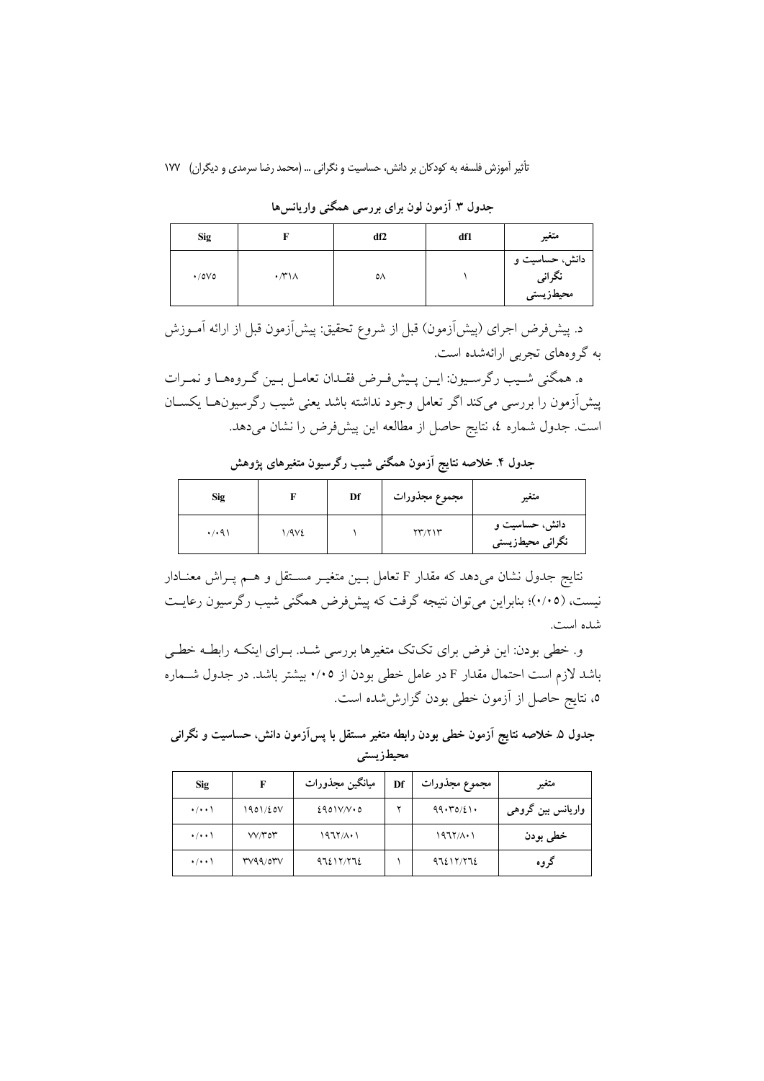| <b>Sig</b>          |                                 | df <sub>2</sub> | df1 | متغير                                                     |
|---------------------|---------------------------------|-----------------|-----|-----------------------------------------------------------|
| $\cdot$ /0 $\vee$ 0 | $\cdot$ / $\uparrow$ \ $\wedge$ | ٥٨              |     | دانش، حساسیت و<br>نگران <sub>ی</sub><br>محیطزیست <i>ی</i> |

جدول ۳. آزمون لون برای بررسی همگنی واریانس ها

د. پیشفررض اجرای (پیش[زمون) قبل از شروع تحقیق: پیش[زمون قبل از ارائه آمــوزش به گروههای تجربی ارائهشده است.

ه. همگني شـيب رگرسـيون: ايـن پـيشفـرض فقـدان تعامـل بـين گـروههـا و نمـرات ييش[زمون را بررسي ميكند اگر تعامل وجود نداشته باشد يعني شيب رگرسيون هـا يكســان است. جدول شماره ٤، نتايج حاصل از مطالعه اين پيشفرض را نشان مىدهد.

| <b>Sig</b> |      | Df | مجموع مجذورات               | متغير                                              |
|------------|------|----|-----------------------------|----------------------------------------------------|
| .7.91      | 1/9V |    | $\Upsilon\Upsilon/\Upsilon$ | دانش، حساسیت و<br>نگران <i>ی</i> محیطزیست <i>ی</i> |

جدول ۴. خلاصه نتایج آزمون همگنی شیب رگرسیون متغیرهای پژوهش

نتایج جدول نشان می دهد که مقدار F تعامل بـین متغیـر مسـتقل و هـم پـراش معنـادار نیست، (۰/۰۵)؛ بنابراین می توان نتیجه گرفت که پیش فرض همگنی شیب رگرسیون رعایت شده است.

و. خطی بودن: این فرض برای تکتک متغیرها بررسی شـد. بـرای اینکـه رابطـه خطـی باشد لازم است احتمال مقدار F در عامل خطی بودن از ۰/۰۵ بیشتر باشد. در جدول شــماره ۵، نتایج حاصل از آزمون خطی بودن گزارششده است.

جدول ۵. خلاصه نتایج آزمون خطی بودن رابطه متغیر مستقل با پسآزمون دانش، حساسیت و نگرانی محيطزيستي

| <b>Sig</b>          | F                                     | ميانگين مجذورات   | Df | مجموع مجذورات    | متغير             |
|---------------------|---------------------------------------|-------------------|----|------------------|-------------------|
| $\cdot$ / $\cdot$ \ | 1901/20V                              | $E401V/V \cdot 0$ | w  | 99.70/21.        | واریانس بین گروهی |
| $\cdot$ / $\cdot$ \ | $V V/T$ or                            | $1977/\Lambda$    |    | $1977/A \cdot 1$ | خطي بودن          |
| $\cdot$ / $\cdot$ \ | $r$ $v$ $q$ $q$ $\rangle$ $q$ $r$ $v$ | 97217/772         |    | 97217/772        | گروه              |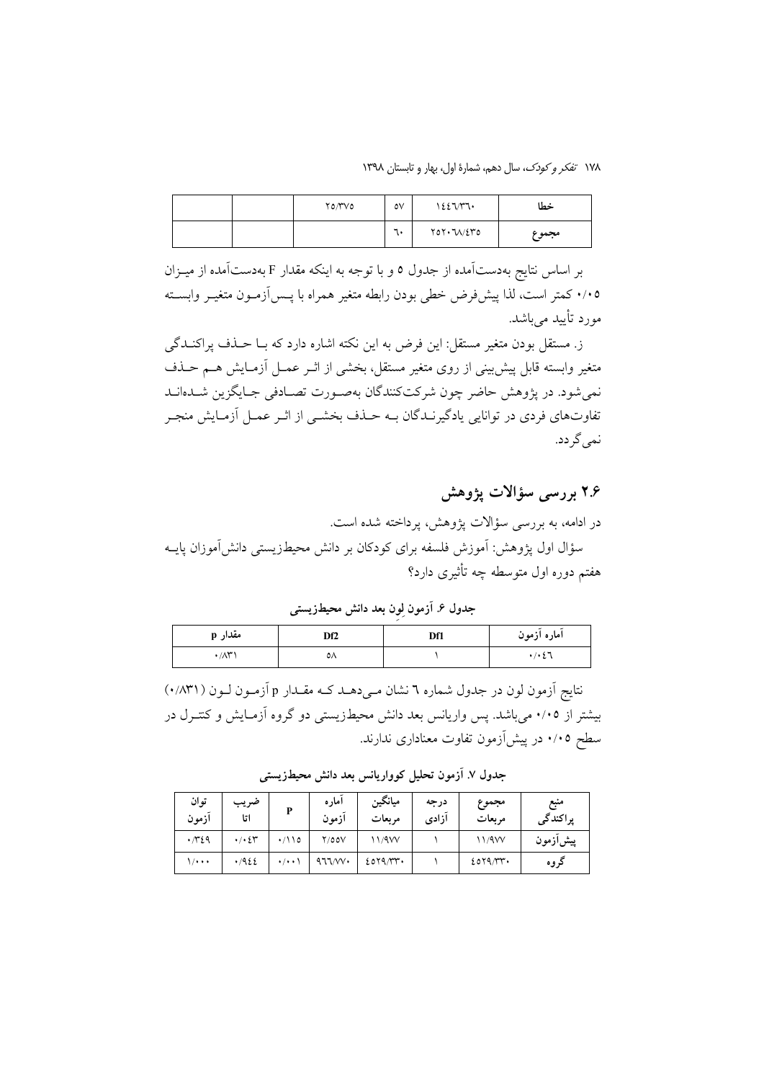١٧٨ تفكر وكودك، سال دهم، شمارة اول، بهار و تابستان ١٣٩٨

|  | ۲۵/۳۷۵ | $\circ \vee$ | 1227/T1                                            | خطا   |
|--|--------|--------------|----------------------------------------------------|-------|
|  |        | ٦.           | $Y$ <sup>0<math>Y</math></sup> $\cdot$ $V/2$ $Y$ 0 | مجموع |

بر اساس نتایج بهدستآمده از جدول ٥ و با توجه به اینکه مقدار F بهدستآمده از میـزان ۰/۰۵ كمتر است، لذا پیشفرض خطی بودن رابطه متغیر همراه با پـسآزمـون متغیـر وابسـته مورد تأیید مے باشد.

ز. مستقل بودن متغیر مستقل: این فرض به این نکته اشاره دارد که بـا حــذف پراکنــدگی متغیر وابسته قابل پیشبینی از روی متغیر مستقل، بخشی از اثـر عمــل أزمــایش هــم حــذف نمي شود. در پژوهش حاضر چون شركتكنندگان بهصـورت تصـادفي جـايگزين شــدهانــد تفاوتهای فردی در توانایی یادگیرنـدگان بــه حــذف بخشــی از اثــر عمــل آزمــایش منجــر نمي گر دد.

## ۲.۶ بررسی سؤالات یژوهش

در ادامه، به بررسی سؤالات پژوهش، پرداخته شده است.

سؤال اول پژوهش: آموزش فلسفه برای کودکان بر دانش محیطزیستی دانش آموزان پایــه هفتم دوره اول متوسطه چه تأثیری دارد؟

جدول ۶. آزمون لِون بعد دانش محیطزیستی

| مقدار p        | Df2 | Df1 | اماره ازمون |
|----------------|-----|-----|-------------|
| $1/\Lambda$ r' | ٥V  |     | ۰/۰٤٦       |

نتایج اَزمون لون در جدول شماره ٦ نشان مـی دهــد کــه مقــدار p اَزمــون لــون ( ٠/٨٣١) بیشتر از ۰/۰۵ می باشد. پس واریانس بعد دانش محیطزیستی دو گروه آزمـایش و کنتـرل در سطح ۰/۰۵ در پیشآزمون تفاوت معناداری ندارند.

جدول ٧. آزمون تحلیل کوواریانس بعد دانش محیطزیستی

| توان<br>ازمون  | ضريب<br>اتا                      | P                         | امار ه<br>ازمون | ميانگين<br>مربعات | درجه<br>آزادى | مجموع<br>مربعات | منبع<br>پراکندگی |
|----------------|----------------------------------|---------------------------|-----------------|-------------------|---------------|-----------------|------------------|
| $\cdot \pi$ 29 | $\cdot$ / $\cdot$ $\zeta$ $\tau$ | $\cdot$ /\\o              | Y/00V           | 11/9W             |               | 11/9VV          | پیشازمون         |
| ۰۰۰۱/          | .7922                            | $\cdot$ / $\cdot$ $\cdot$ | 477/W           | 2079/Tr           |               | 2019/Tr         | دروه             |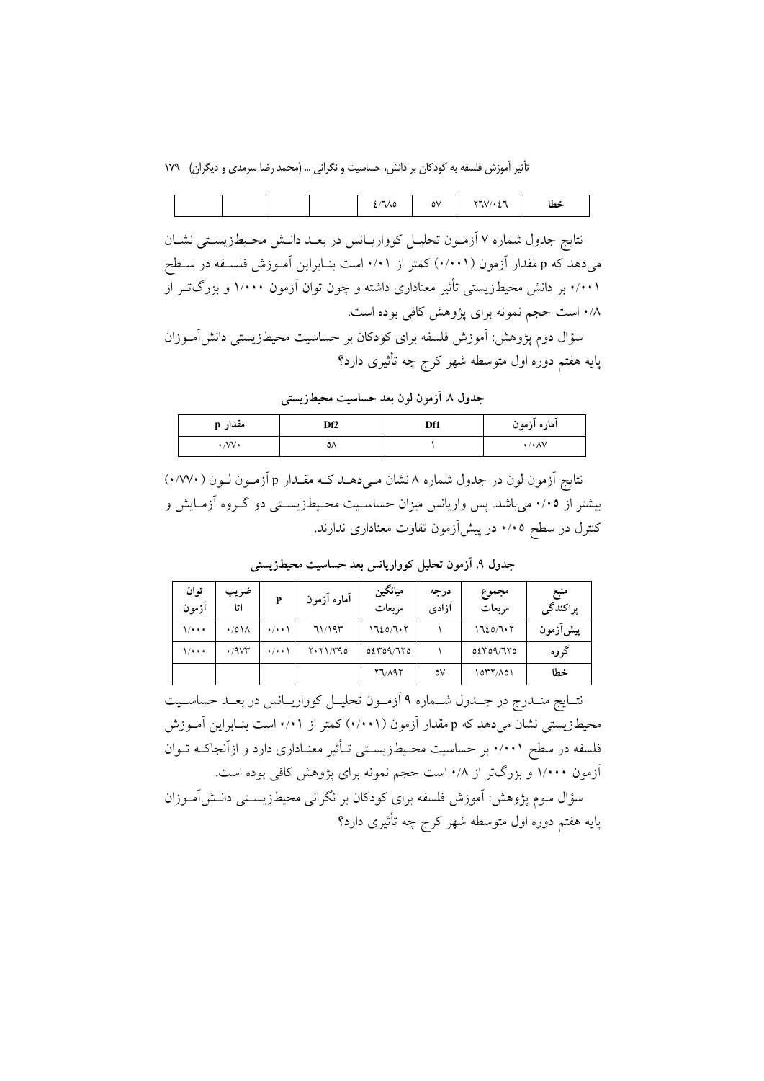تأثیر آموزش فلسفه به کودکان بر دانش، حساسیت و نگرانی … (محمد رضا سرمدی و دیگران) ۱۷۹

|  |  | 2700 | ٥V | $\sim$<br><b>STATISTICS</b><br>۰، ۱<br>$\mathcal{N}$ | خطا |
|--|--|------|----|------------------------------------------------------|-----|
|  |  |      |    |                                                      |     |

نتايج جدول شماره ٧ آزمـون تحليـل كوواريـانس در بعـد دانـش محـيطزيسـتي نشـان میدهد که p مقدار آزمون (۰/۰۰۱) کمتر از ۰/۰۱ است بنـابراین آمـوزش فلسـفه در سـطح ۰/۰۰۱ بر دانش محیطزیستی تأثیر معناداری داشته و چون توان آزمون ۱/۰۰۰ و بزرگتـر از ۰/۸ است حجم نمونه برای پژوهش کافی بوده است.

سؤال دوم پژوهش: آموزش فلسفه برای کودکان بر حساسیت محیطزیستی دانش[مـوزان پایه هفتم دوره اول متوسطه شهر کرج چه تأثیری دارد؟

جدول ٨ آزمون لون بعد حساسيت محيطزيستي

| مقدار p             | Df2 | Df1 | اماره ازمون              |
|---------------------|-----|-----|--------------------------|
| $\cdot$ /VV $\cdot$ | ٥٨  |     | $\cdot / \cdot \wedge V$ |

نتایج اَزمون لون در جدول شماره ۸ نشان مـیدهــد کــه مقــدار p اَزمــون لــون (۰/۷۷۰) بیشتر از ۰/۰۵ میباشد. پس واریانس میزان حساسـیت محـیطـزیسـتی دو گــروه آزمــایش و کنترل در سطح ۰/۰۵ در پیشآزمون تفاوت معناداری ندارند.

| توان<br>آزمون | ضريب<br>اتا           | P                   | أماره أزمون | ميانگين<br>مربعات | درجه<br>ازادى | مجموع<br>مربعات | منبع<br>پراکندگی |
|---------------|-----------------------|---------------------|-------------|-------------------|---------------|-----------------|------------------|
| ۰۰۰۱)         | $\cdot$ /0 \ $\wedge$ | $\cdot$ / $\cdot$ \ | 71/195      | ۱٦٤٥/٦٠٢          |               | 1720/707        | پیشازمون         |
| ۰۰۰۱)         | .4v                   | $\cdot$ / $\cdot$ \ | Y.71/T90    | 0509/770          |               | 0.2409/710      | گروه             |
|               |                       |                     |             | <b>Y7/197</b>     | ٥V            | 1077/A01        | خطا              |

جدول ۹. آزمون تحلیل کوواریانس بعد حساسیت محیطزیستی

نتــايج منــدرج در جــدول شـــماره ۹ آزمــون تحليــل كوواريــانس در بعــد حساســيت محیطزیستی نشان میدهد که p مقدار آزمون (۰/۰۰۱) کمتر از ۰/۰۱ است بنـابراین آمـوزش فلسفه در سطح ۰/۰۰۱ بر حساسیت محـیطـزیســتی تــأثیر معنــاداری دارد و ازآنجاکــه تــوان آزمون ۱/۰۰۰ و بزرگتر از ۰/۸ است حجم نمونه برای پژوهش کافی بوده است.

سؤال سوم يژوهش: اَموزش فلسفه براي كودكان بر نگراني محيطزيسـتي دانـش|مــوزان یایه هفتم دوره اول متوسطه شهر کرج چه تأثیری دارد؟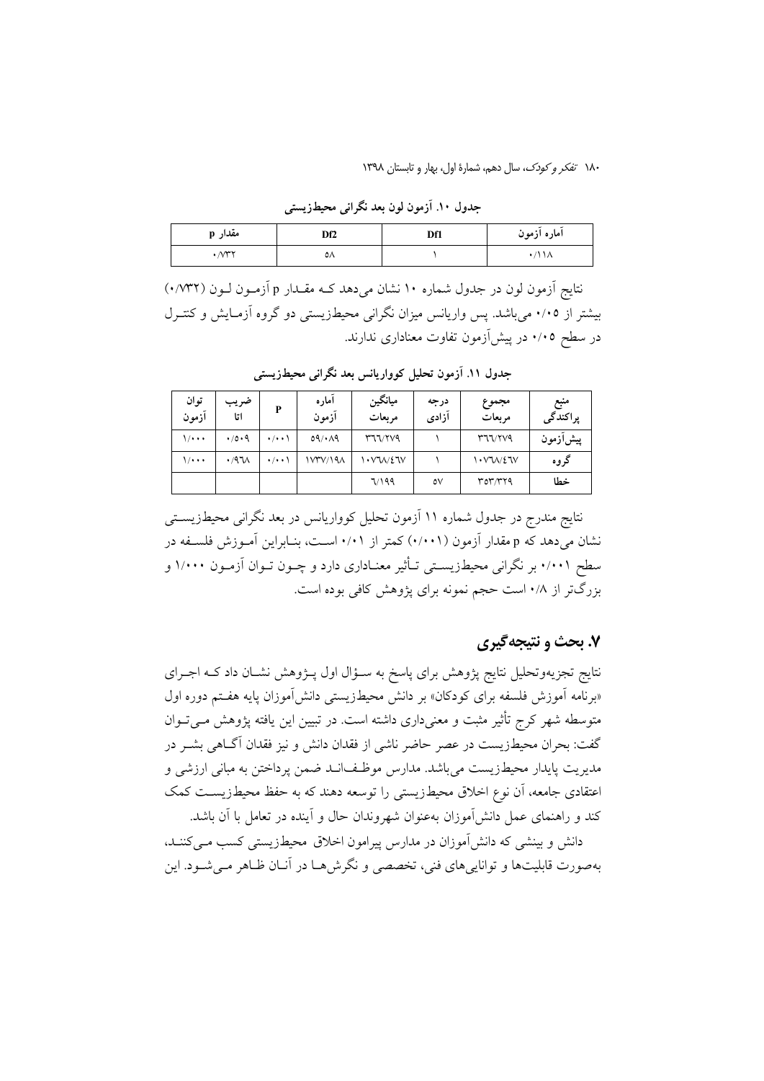١٨٠ تفكر وكودك، سال دهم، شمارة اول، بهار و تابستان ١٣٩٨

| مقدار p                                | Df2 | Df1 | اماره ازمون |
|----------------------------------------|-----|-----|-------------|
| $\cdot$ $\wedge$ $\uparrow$ $\uparrow$ | ٥٨  |     | ۰/۱۱۸       |

جدول ۱۰. آزمون لون بعد نگرانی محیطزیستی

نتایج آزمون لون در جدول شماره ۱۰ نشان میدهد کـه مقـدار p آزمـون لـون (۰/۷۳۲) بیشتر از ۰/۰۵ میباشد. پس واریانس میزان نگرانی محیطزیستی دو گروه آزمـایش و کنتـرل در سطح ۰/۰۵ در پیشآزمون تفاوت معناداری ندارند.

| توان<br>آزمون | ضريب<br>اتا  | P                  | امار ه<br>ازمون | ميانگين<br>مربعات | درجه<br>آزادى | مجموع<br>مربعات | منبع<br>پراکندگی |
|---------------|--------------|--------------------|-----------------|-------------------|---------------|-----------------|------------------|
| ۱٬۰۰۰         | 4/0.9        | $\cdot/\cdot\cdot$ | 09/049          | <b>MIVYV9</b>     |               | Y77/779         | پیشازمون         |
| $\frac{1}{2}$ | $.47\lambda$ | $\cdot/\cdot\cdot$ | 1 V۳V/19A       | $\cdot$ v W/2 TV  |               | 1. VU/27V       | گروه             |
|               |              |                    |                 | 7/199             | ٥V            | rorryq          | خطا              |

جدول ١١. آزمون تحليل كوواريانس بعد نگراني محيطزيستي

نتایج مندرج در جدول شماره ۱۱ آزمون تحلیل کوواریانس در بعد نگرانی محیطزیسـتی نشان میدهد که p مقدار آزمون (۰/۰۰۱) کمتر از ۰/۰۱ اسـت، بنـابراین آمـوزش فلسـفه در سطح ۰/۰۰۱ بر نگرانی محیطزیسـتی تـأثیر معنـاداری دارد و چــون تــوان آزمــون ۱/۰۰۰ و بزرگتر از ۰/۸ است حجم نمونه برای پژوهش کافی بوده است.

#### ۷. بحث و نتیجهگیری

نتایج تجزیهوتحلیل نتایج پژوهش برای پاسخ به سـؤال اول پــژوهش نشــان داد کــه اجــرای «برنامه آموزش فلسفه برای کودکان» بر دانش محیطزیستی دانش آموزان پایه هفتم دوره اول متوسطه شهر کرج تأثیر مثبت و معنیداری داشته است. در تبیین این یافته پژوهش مـیتـوان گفت: بحران محیطزیست در عصر حاضر ناشی از فقدان دانش و نیز فقدان آگـاهی بشــر در مديريت پايدار محيطزيست مي باشد. مدارس موظـف|نــد ضمن پرداختن به مباني ارزشي و اعتقادی جامعه، آن نوع اخلاق محیطزیستی را توسعه دهند که به حفظ محیطزیست کمک کند و راهنمای عمل دانش[موزان بهعنوان شهروندان حال و آینده در تعامل با آن باشد.

دانش و بینشی که دانش آموزان در مدارس پیرامون اخلاق محیطزیستی کسب مـی کننـد، بهصورت قابلیتها و توانایی های فنی، تخصصی و نگرش هـا در آنـان ظـاهر مـیشـود. این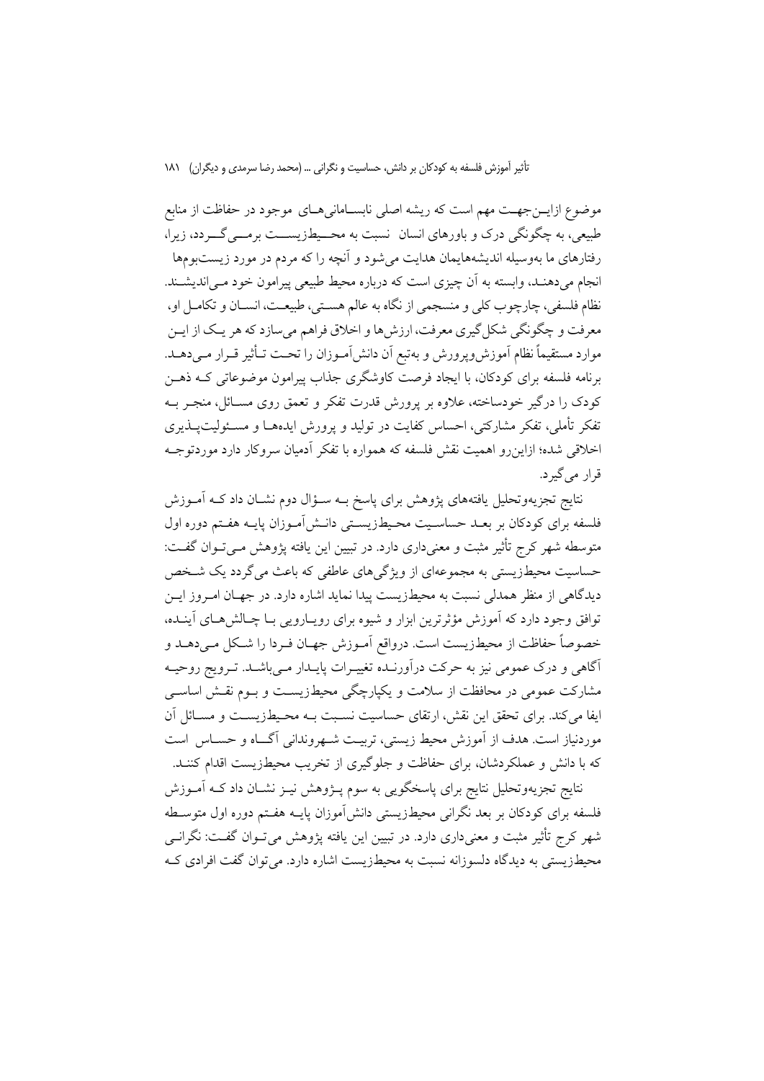موضوع ازایــنجهــت مهم است که ریشه اصلی نابســامانی۵ــای موجود در حفاظت از منابع طبیعی، به چگونگی درک و باورهای انسان نسبت به محــیطزیســـت برمـــیگـــردد، زیرا، رفتارهای ما بهوسیله اندیشههایمان هدایت می شود و آنچه را که مردم در مورد زیستبومها انجام می دهنـد، وابسته به اَن چیزی است که درباره محیط طبیعی پیرامون خود مـی|ندیشـند. نظام فلسفي، چارچوب كلي و منسجمي از نگاه به عالم هسـتي، طبيعـت، انســان و تكامــل او، معرفت و چگونگي شکل گيري معرفت، ارزش ها و اخلاق فراهم مي سازد که هر يـک از ايــن موارد مستقيماً نظام آموزش وپرورش و بهتبع أن دانش[مـوزان را تحـت تـأثير قـرار مـىدهــد. برنامه فلسفه برای کودکان، با ایجاد فرصت کاوشگری جذاب پیرامون موضوعاتی کـه ذهــز کودک را درگیر خودساخته، علاوه بر پرورش قدرت تفکر و تعمق روی مسـائل، منجـر بــه تفکر تأملی، تفکر مشارکتی، احساس کفایت در تولید و پرورش ایدههـا و مسـئولیتپــذیری اخلاقی شده؛ ازاینرو اهمیت نقش فلسفه که همواره با تفکر آدمیان سروکار دارد موردتوجـه قرار مي گير د.

نتایج تجزیهوتحلیل یافتههای پژوهش برای پاسخ بــه ســؤال دوم نشــان داد کــه آمــوزش فلسفه برای کودکان بر بعــد حساسـیت محـیطـزیســتی دانــش[مــوزان پایــه هفــتم دوره اول متوسطه شهر کرج تأثیر مثبت و معنیداری دارد. در تبیین این یافته پژوهش مـیتـوان گفـت: حساسیت محیطزیستی به مجموعهای از ویژگیهای عاطفی که باعث میگردد یک شخص دیدگاهی از منظر همدلی نسبت به محیطزیست پیدا نماید اشاره دارد. در جهـان امـروز ایــن توافق وجود دارد که آموزش مؤثرترین ابزار و شیوه برای رویـارویی بـا چـالش(هـای آینــده، خصوصاً حفاظت از محیطزیست است. درواقع اَمـوزش جهـان فـردا را شـكل مـى،دهــد و آگاهی و درک عمومی نیز به حرکت درآورنـده تغییـرات پایـدار مـیباشـد. تـرویج روحیـه مشارکت عمومی در محافظت از سلامت و یکیارچگی محیطزیسـت و بــوم نقــش اساســی ایفا می کند. برای تحقق این نقش، ارتقای حساسیت نسـبت بــه محـیطـزیســت و مســائل آن موردنیاز است. هدف از آموزش محیط زیستی، تربیت شـهروندانی آگــاه و حسـاس است که با دانش و عملکردشان، برای حفاظت و جلوگیری از تخریب محیطزیست اقدام کننـد.

.<br>نتایج تجزیهوتحلیل نتایج برای پاسخگویی به سوم پـژوهش نیـز نشـان داد کــه آمــوزش فلسفه برای کودکان بر بعد نگرانی محیطزیستی دانش آموزان پایــه هفــتم دوره اول متوســطه شهر کرج تأثیر مثبت و معنیداری دارد. در تبیین این یافته پژوهش می تـوان گفـت: نگرانــی محیطزیستی به دیدگاه دلسوزانه نسبت به محیطزیست اشاره دارد. می توان گفت افرادی ک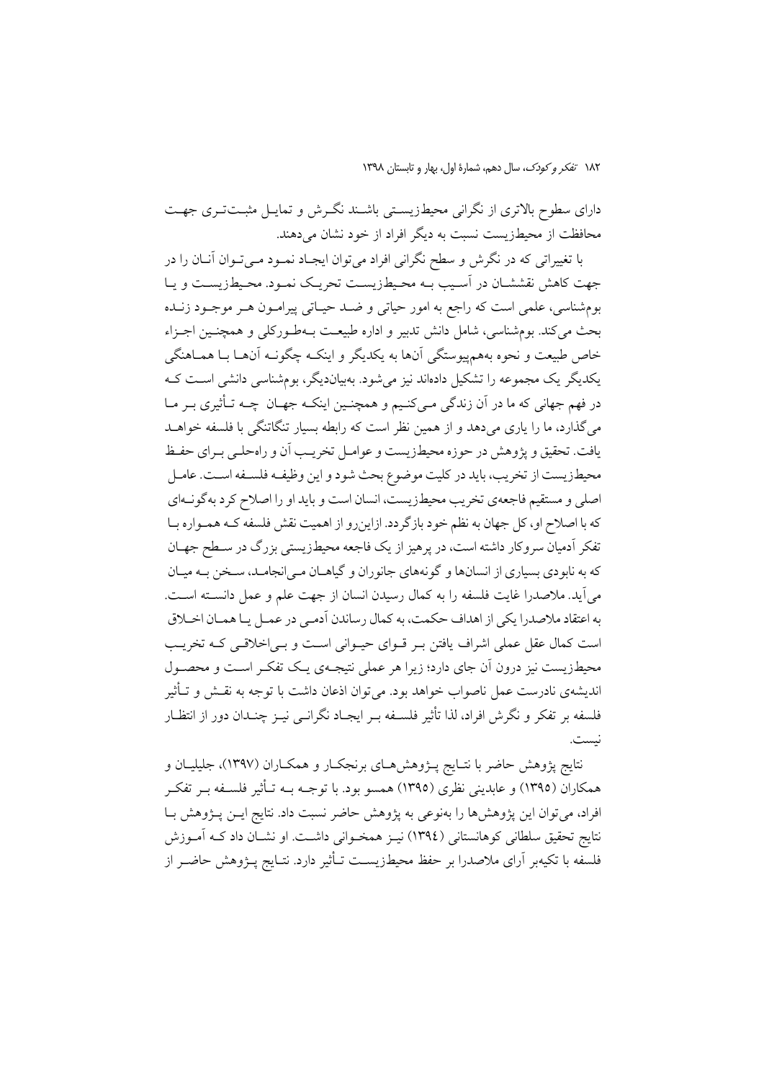١٨٢ تفكر وكودك، سال دهم، شمارة اول، بهار و تابستان ١٣٩٨

دارای سطوح بالاتری از نگرانی محیطزیستی باشـند نگـرش و تمایـل مثبـتتـری جهـت محافظت از محبطزیست نسبت به دیگر افراد از خود نشان می دهند.

با تغییراتی که در نگرش و سطح نگرانی افراد می توان ایجـاد نمـود مـی تـوان آنــان را در جهت كاهش نقششـان در أسـيب بـه محـيطـزيسـت تحريـك نمـود. محـيطـزيسـت و يـا بومشناسی، علمی است که راجع به امور حیاتی و ضـد حیـاتی پیرامـون هـر موجـود زنـده بحث مي كند. بومشناسي، شامل دانش تدبير و اداره طبيعت بـهطـوركلي و همچنـين اجـزاء خاص طبيعت و نحوه بههم پيوستگي آنها به يکديگر و اينکـه چگونـه آنهـا بــا همــاهنگي یکدیگر یک مجموعه را تشکیل دادهاند نیز می شود. بهبیاندیگر، بومشناسی دانشی است کـه در فهم جهانی که ما در آن زندگی مـیکنـیم و همچنـین اینکـه جهـان چـه تـأثیری بـر مـا می گذارد، ما را پاری میدهد و از همین نظر است که رابطه بسیار تنگاتنگی با فلسفه خواهـد يافت. تحقيق و يژوهش در حوزه محيطزيست و عوامـل تخريـب أن و راهحلـي بـراي حفـظ محيطزيست از تخريب، بايد در كليت موضوع بحث شود و اين وظيف فلسـفه اسـت. عامـل اصلی و مستقیم فاجعهی تخریب محیطزیست، انسان است و باید او را اصلاح کرد به گونـهای که با اصلاح او، کل جهان به نظم خود بازگردد. ازاینرو از اهمیت نقش فلسفه کـه همـواره بـا تفکر آدمیان سروکار داشته است، در پرهیز از یک فاجعه محیطزیستی بزرگ در سـطح جهـان که به نابودي بسياري از انسانها و گونههاي جانوران و گياهـان مـي|نجامـد، سـخن بـه ميـان میآید. ملاصدرا غایت فلسفه را به کمال رسیدن انسان از جهت علم و عمل دانســته اســت. به اعتقاد ملاصدرا يكي از اهداف حكمت، به كمال رساندن آدمـي در عمـل يـا همـان اخــلاق است کمال عقل عملی اشراف یافتن بـر قــوای حیــوانی اســت و بــی|خلاقــی کــه تخریــب محیطزیست نیز درون آن جای دارد؛ زیرا هر عملی نتیجـهی یـک تفکـر اسـت و محصـول اندیشهی نادرست عمل ناصواب خواهد بود. می توان اذعان داشت با توجه به نقــش و تــأثير فلسفه بر تفكر و نگرش افراد، لذا تأثير فلســفه بــر ايجــاد نگرانــي نيــز چنــدان دور از انتظــار .<br>نست.

نتایج پژوهش حاضر با نتـایج پـژوهش(حای برنجکـار و همکـاران (۱۳۹۷)، جلیلیـان و همکاران (١٣٩٥) و عابدینی نظری (١٣٩٥) همسو بود. با توجــه بــه تــأثیر فلســفه بــر تفکــر افراد، می توان این پژوهشها را بهنوعی به پژوهش حاضر نسبت داد. نتایج ایــن پــژوهش بــا نتايج تحقيق سلطاني كوهانستاني (١٣٩٤) نيـز همخـواني داشـت. او نشــان داد كــه آمــوزش فلسفه با تکیهبر آرای ملاصدرا بر حفظ محیطزیسـت تــأثیر دارد. نتــایج پــژوهش حاضــر از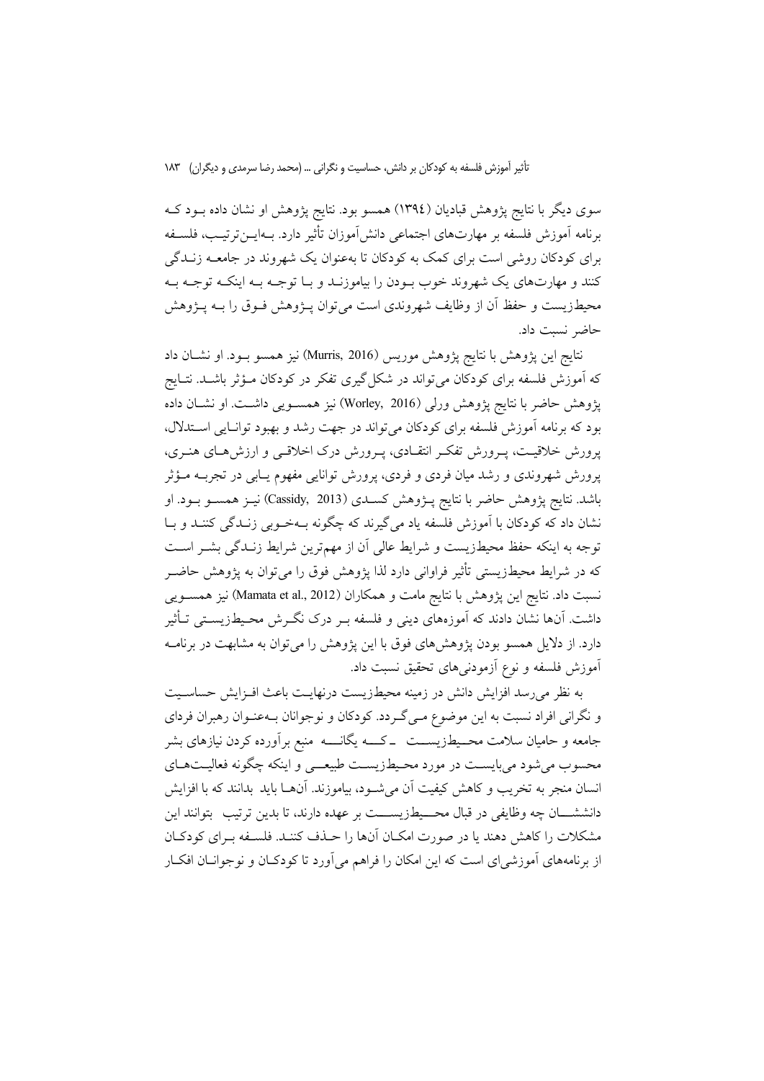سوی دیگر با نتایج پژوهش قبادیان (١٣٩٤) همسو بود. نتایج پژوهش او نشان داده بـود کـه برنامه آموزش فلسفه بر مهارتهاى اجتماعى دانش[موزان تأثير دارد. بــهايــنترتيـب، فلســفه برای کودکان روشی است برای کمک به کودکان تا بهعنوان یک شهروند در جامعــه زنــدگی کنند و مهارتهای یک شهروند خوب بـودن را بیاموزنـد و بـا توجـه بـه اینکـه توجـه بـه محیطزیست و حفظ آن از وظایف شهروندی است میتوان پــژوهش فــوق را بــه پــژوهش حاضر نسبت داد.

نتايج اين پژوهش با نتايج پژوهش موريس (Murris, 2016) نيز همسو بـود. او نشــان داد که آموزش فلسفه برای کودکان میٍتواند در شکل گیری تفکر در کودکان مـؤثر باشــد. نتــایج پژوهش حاضر با نتايج پژوهش ورلي (Worley, 2016) نيز همســويي داشــت. او نشــان داده بود که برنامه أموزش فلسفه برای کودکان می تواند در جهت رشد و بهبود توانـایی اســتدلال، یرورش خلاقیت، پـرورش تفکـر انتقـادی، پـرورش درک اخلاقـی و ارزش هـای هنـری، پرورش شهروندی و رشد میان فردی و فردی، پرورش توانایی مفهوم یـابی در تجربــه مــؤثر باشد. نتايج پژوهش حاضر با نتايج پـژوهش كســدي (Cassidy, 2013) نيــز همســو بــود. او نشان داد که کودکان با آموزش فلسفه یاد میگیرند که چگونه بـهخـوبی زنـدگی کننـد و بـا توجه به اینکه حفظ محیطزیست و شرایط عالی آن از مهمترین شرایط زنـدگی بشـر اسـت که در شرایط محیطزیستی تأثیر فراوانی دارد لذا پژوهش فوق را میتوان به پژوهش حاضــر نسبت داد. نتايج اين پژوهش با نتايج مامت و همكاران (Mamata et al., 2012) نيز همســويـي داشت. آنها نشان دادند که آموزههای دینی و فلسفه بـر درک نگــرش محـیطـزیســتی تــأثیر دارد. از دلایل همسو بودن پژوهشهای فوق با این پژوهش را می توان به مشابهت در برنامـه آموزش فلسفه و نوع آزمودنیهای تحقیق نسبت داد.

به نظر می رسد افزایش دانش در زمینه محیطزیست درنهایـت باعث افـزایش حساسـیت و نگرانی افراد نسبت به این موضوع مـی گـردد. کودکان و نوجوانان بـهعنـوان رهبران فردای جامعه و حامیان سلامت محــیطـزیســـت ــ کــــه یگانـــــه منبع برآورده کردن نیازهای بشر محسوب می شود می بایسـت در مورد محـیطـزیسـت طبیعــی و اینکه چگونه فعالیـتهـای انسان منجر به تخريب و كاهش كيفيت أن مي شـود، بياموزند. أنهــا بايد بدانند كه با افزايش دانششــــان چه وظايفي در قبال محــــيطـزيســــت بر عهده دارند، تا بدين ترتيب بتوانند اين مشكلات را كاهش دهند يا در صورت امكـان آنها را حـذف كننـد. فلسـفه بـراي كودكـان از برنامههای آموزشیای است که این امکان را فراهم میآورد تا کودکـان و نوجوانــان افکــار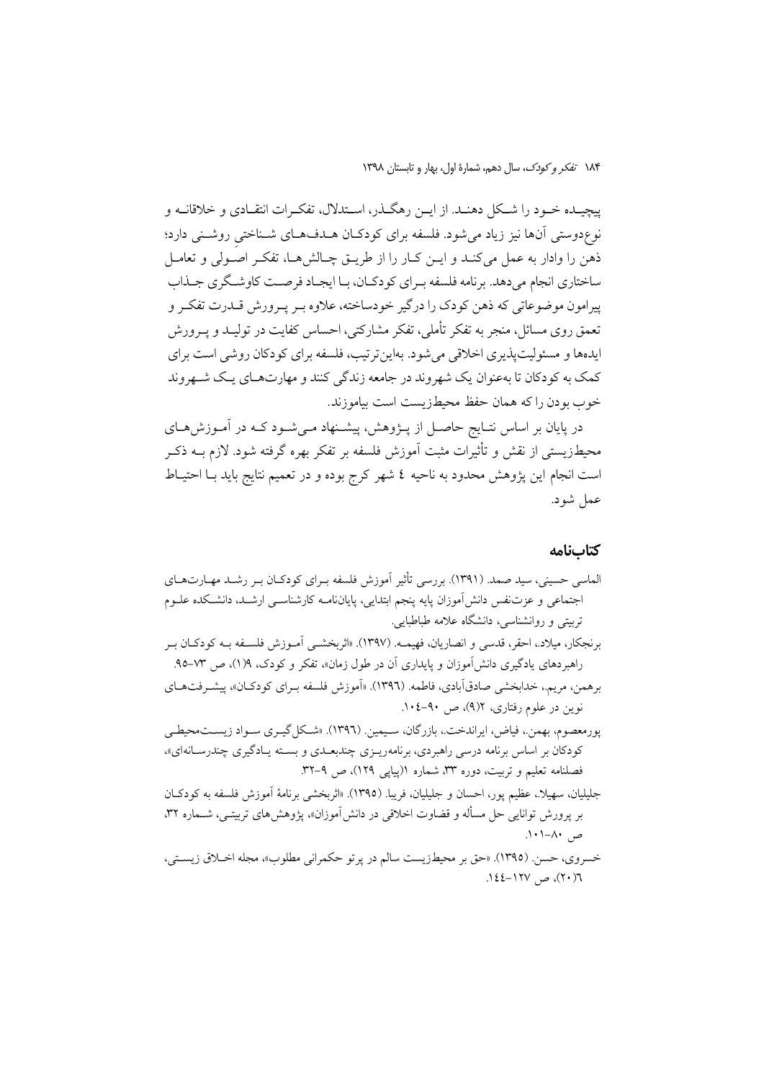پیچیـده خـود را شـكل دهنـد. از ایــن رهگـذر، اسـتدلال، تفكـرات انتقـادي و خلاقانــه و .<br>نوع،دوستی آنها نیز زیاد میشود. فلسفه برای کودکـان هــدفAعـای شــناختیِ روشــنی دارد؛ ذهن را وادار به عمل میکند و ایـن کـار را از طریـق چـالشهـا، تفکـر اصـولی و تعامـل ساختاري انجام مي دهد. برنامه فلسفه بـراي كودكـان، بـا ايجـاد فرصـت كاوشـگري جـذاب پیرامون موضوعاتی که ذهن کودک را درگیر خودساخته، علاوه بـر پـرورش قــدرت تفکـر و تعمق روی مسائل، منجر به تفکر تأملی، تفکر مشارکتی، احساس کفایت در تولیـد و پــرورش ایدهها و مسئولیتیذیری اخلاقی می شود. بهاین ترتیب، فلسفه برای کودکان روشی است برای کمک به کودکان تا بهعنوان یک شهروند در جامعه زندگی کنند و مهارتهـای یـک شـهروند خوب بودن را كه همان حفظ محيطزيست است بياموزند.

در پایان بر اساس نتـایج حاصـل از پــژوهش، پیشــنهاد مــیشـود کــه در آمــوزش۱حـای محیطزیستی از نقش و تأثیرات مثبت آموزش فلسفه بر تفکر بهره گرفته شود. لازم بــه ذکــر است انجام این پژوهش محدود به ناحیه ٤ شهر کرج بوده و در تعمیم نتایج باید بـا احتیـاط عمل شود.

#### كتابنامه

| الماسی حسینی، سید صمد. (۱۳۹۱). بررسی تأثیر أموزش فلسفه بـرای کودکـان بـر رشـد مهـارتهـای              |
|-------------------------------------------------------------------------------------------------------|
| اجتماعی و عزتنفس دانش[موزان پایه پنجم ابتدایی، پایاننامــه کارشناســی ارشــد، دانشــکده علــوم        |
| تربیتی و روانشناسی، دانشگاه علامه طباطبایی.                                                           |
| برنجکار، میلاد.، احقر، قدسی و انصاریان، فهیمـه. (۱۳۹۷). «اثربخشــی أمــوزش فلســفه بــه کودکــان بــر |
| راهبردهای یادگیری دانش[موزان و پایداری آن در طول زمان»، تفکر و کودک، ۱۹(۱)، ص ۷۳–۹۵.                  |
| برهمن، مریم.، خدابخشی صادقآبادی، فاطمه. (١٣٩٦). «اَموزش فلسفه بـرای کودکــان»، پیشــرفتهــای          |
| نوین در علوم رفتاری، ۵/۲)، ص ۹۰-۰۶-۱۰.                                                                |
| پورمعصوم، بهمن.، فیاض، ایراندخت.، بازرگان، سـیمین. (١٣٩٦). «شـكل گیـري سـواد زیســت،محیطـي            |
| کودکان بر اساس برنامه درسی راهبردی، برنامهریــزی چندبعــدی و بســته یــادگیری چندرســانهای»،          |
| فصلنامه تعلیم و تربیت، دوره ۳۳، شماره ۱(پیاپی ۱۲۹)، ص ۹–۳۲.                                           |
| جليليان، سهيلًا.، عظيم پور، احسان و جليليان، فريبا. (١٣٩٥). «اثربخشي برنامة آموزش فلسفه به كودكـان    |
| بر پرورش توانایی حل مسأله و قضاوت اخلاقی در دانش[موزان»، پژوهشهای تربیتـی، شــماره ۳۲،                |
| ص ۸۰–۱۰۱.                                                                                             |
| خيسروي، حسن (١٣٩٥). «حق بر محيطزيست سالم در بر تو حكم اني مطلوب»، محله اخبلاق زيستير،                 |

روت.<br>۲(۲۰)، ص ۱۲۷–۱٤٤.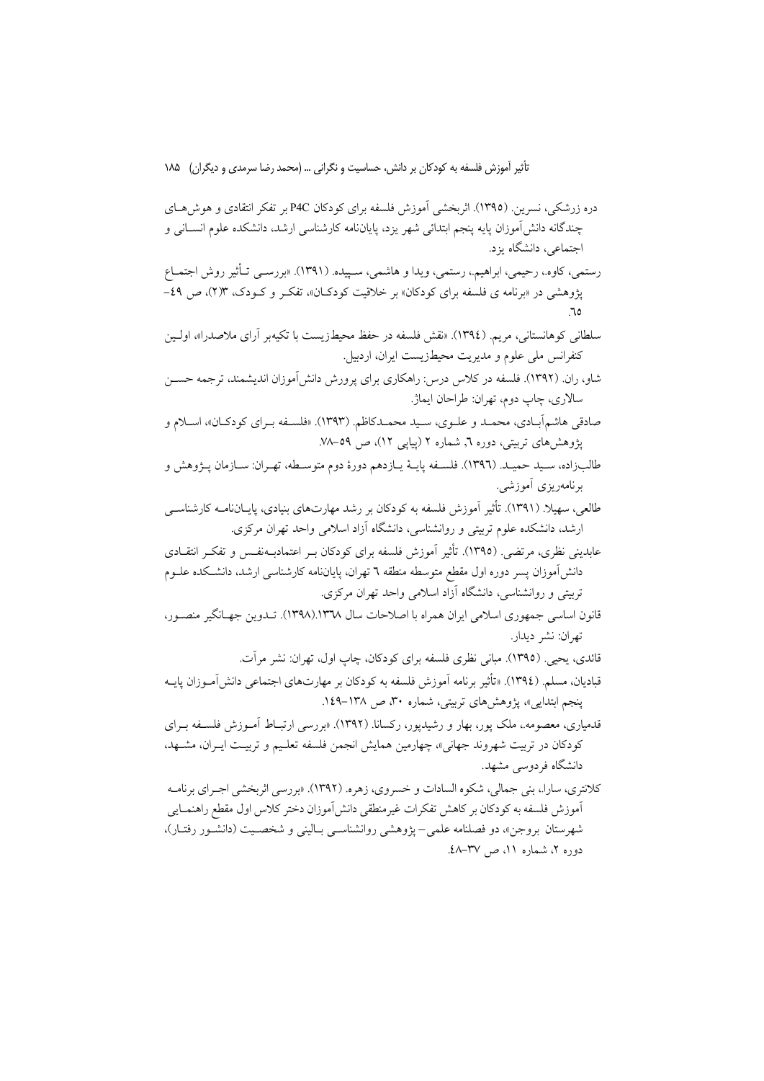دره زرشکی، نسرین. (۱۳۹۵). اثربخشی آموزش فلسفه برای کودکان P4C بر تفکر انتقادی و هوش هسای چندگانه دانش[موزان پایه پنجم ابتدائی شهر یزد، پایاننامه کارشناسی ارشد، دانشکده علوم انســانی و اجتماعی، دانشگاه یزد.

رستمی، کاوه.، رحیمی، ابراهیم.، رستمی، ویدا و هاشمی، سـپیده. (۱۳۹۱). «بررســی تــأثیر روش اجتمــاع پژوهشی در «برنامه ی فلسفه برای کودکان» بر خلاقیت کودکـان»، تفکـر و کـودک، ۱۳٪)، ص ٤٩-

سلطانی کوهانستانی، مریم. (١٣٩٤). «نقش فلسفه در حفظ محیطزیست با تکیهبر آرای ملاصدرا»، اولـین كنفرانس ملي علوم و مديريت محيطزيست ايران، اردبيل.

شاو، ران. (۱۳۹۲). فلسفه در کلاس درس: راهکاری برای پرورش دانش[موزان اندیشمند، ترجمه حســن سالاري، چاپ دوم، تهران: طراحان ايماژ.

صادقی هاشم آبـادي، محمـد و علـوي، سـيد محمـدکاظم. (١٣٩٣). «فلسـفه بـراي کودکـان»، اسـلام و پژوهشهای تربیتی، دوره ٦, شماره ٢ (ییایی ١٢)، ص ٥٩-٧٨.

طالبزاده، سـيد حميـد. (١٣٩٦). فلسـفه پايـهٔ يـازدهم دورهٔ دوم متوسـطه، تهـران: سـازمان پـژوهش و یرنامهریزی آموزشبی.

طالعی، سهیلا. (۱۳۹۱). تأثیر آموزش فلسفه به کودکان بر رشد مهارتهای بنیادی، پایــانiامــه کارشناســی ارشد، دانشکده علوم تربیتی و روانشناسی، دانشگاه آزاد اسلامی واحد تهران مرکزی.

عابدینی نظری، مرتضی (١٣٩٥). تأثیر آموزش فلسفه برای کودکان بـر اعتمادبـهنفـس و تفکـر انتقــادی دانش[موزان پسر دوره اول مقطع متوسطه منطقه ٦ تهران، پایاننامه کارشناسی ارشد، دانشکده علــوم تربیتی و روانشناسی، دانشگاه آزاد اسلامی واحد تهران مرکزی.

قانون اساسی جمهوری اسلامی ایران همراه با اصلاحات سال ۱۳۳۸.(۱۳۹۸). تــدوین جهــانگیر منصــور، تهران: نشر ديدار.

قائدی، یحیی (۱۳۹۵). مبانی نظری فلسفه برای کودکان، چاپ اول، تهران: نشر مرآت.

قبادیان، مسلم. (١٣٩٤). «تأثير برنامه آموزش فلسفه به کودکان بر مهارتهای اجتماعی دانش[مــوزان يايــه ینجم ابتدایی»، یژوهش های تربیتی، شماره ۳۰، ص ۱۳۸–۱٤۹.

قدمیاری، معصومه.، ملک یور، بهار و رشیدیور، رکسانا. (۱۳۹۲). «بررسی ارتبـاط آمــوزش فلســفه بــرای کودکان در تربیت شهروند جهانی»، چهارمین همایش انجمن فلسفه تعلیم و تربیـت ایــران، مشــهد، دانشگاه فردوسی مشهد.

كلانتري، سارا.، بني جمالي، شكوه السادات و خسروي، زهره. (١٣٩٢). «بررسي اثربخشي اجـراي برنامــه آموزش فلسفه به كودكان بر كاهش تفكرات غيرمنطقي دانش}موزان دختر كلاس اول مقطع راهنمــايي شهرستان بروجن»، دو فصلنامه علمي–يژوهشي روانشناسـي بـاليني و شخصـيت (دانشـور رفتـار)، دوره ۲، شماره ۱۱، ص ۳۷–۶۸.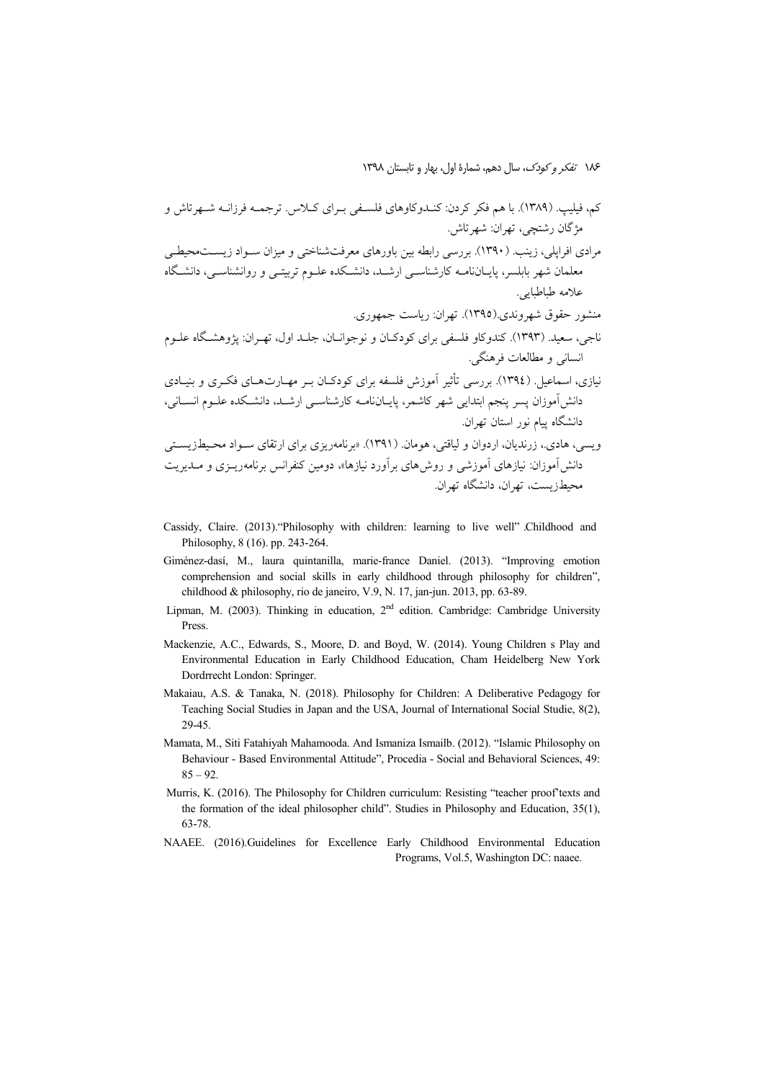١٨۶ تفكر وكودك، سال دهم، شمارة اول، بهار و تابستان ١٣٩٨

- Cassidy, Claire. (2013). "Philosophy with children: learning to live well" Childhood and Philosophy, 8 (16). pp. 243-264.
- Giménez-dasí, M., laura quintanilla, marie-france Daniel. (2013). "Improving emotion comprehension and social skills in early childhood through philosophy for children", childhood & philosophy, rio de janeiro, V.9, N. 17, jan-jun. 2013, pp. 63-89.
- Lipman, M. (2003). Thinking in education, 2<sup>nd</sup> edition. Cambridge: Cambridge University Press.
- Mackenzie, A.C., Edwards, S., Moore, D. and Boyd, W. (2014). Young Children s Play and Environmental Education in Early Childhood Education, Cham Heidelberg New York Dordrrecht London: Springer.
- Makaiau, A.S. & Tanaka, N. (2018). Philosophy for Children: A Deliberative Pedagogy for Teaching Social Studies in Japan and the USA, Journal of International Social Studie, 8(2), 29-45.
- Mamata, M., Siti Fatahiyah Mahamooda. And Ismaniza Ismailb. (2012). "Islamic Philosophy on Behaviour - Based Environmental Attitude", Procedia - Social and Behavioral Sciences, 49:  $85 - 92$ .
- Murris, K. (2016). The Philosophy for Children curriculum: Resisting "teacher proof'texts and the formation of the ideal philosopher child". Studies in Philosophy and Education, 35(1), 63-78.
- NAAEE. (2016).Guidelines for Excellence Early Childhood Environmental Education Programs, Vol.5, Washington DC: naaee.